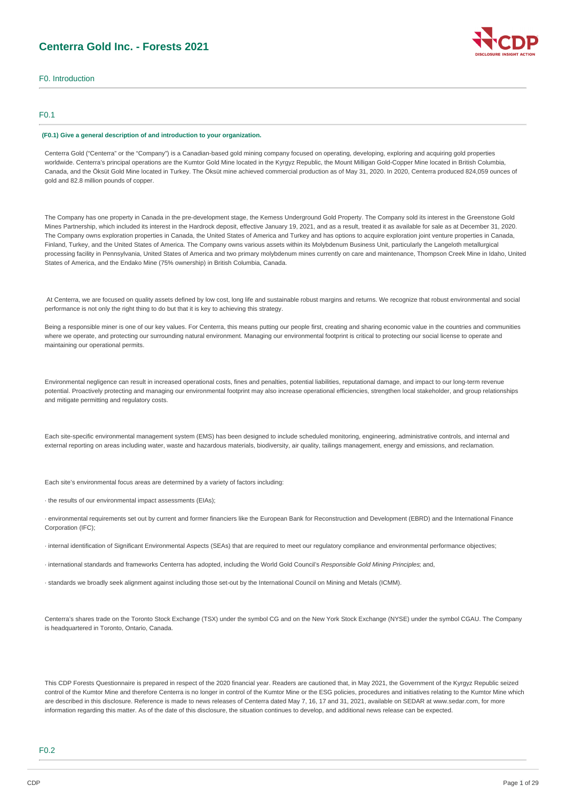# **Centerra Gold Inc. - Forests 2021**



# F0. Introduction

## F0.1

#### **(F0.1) Give a general description of and introduction to your organization.**

Centerra Gold ("Centerra" or the "Company") is a Canadian-based gold mining company focused on operating, developing, exploring and acquiring gold properties worldwide. Centerra's principal operations are the Kumtor Gold Mine located in the Kyrgyz Republic, the Mount Milligan Gold-Copper Mine located in British Columbia, Canada, and the Öksüt Gold Mine located in Turkey. The Öksüt mine achieved commercial production as of May 31, 2020. In 2020, Centerra produced 824,059 ounces of gold and 82.8 million pounds of copper.

The Company has one property in Canada in the pre-development stage, the Kemess Underground Gold Property. The Company sold its interest in the Greenstone Gold Mines Partnership, which included its interest in the Hardrock deposit, effective January 19, 2021, and as a result, treated it as available for sale as at December 31, 2020. The Company owns exploration properties in Canada, the United States of America and Turkey and has options to acquire exploration joint venture properties in Canada, Finland, Turkey, and the United States of America. The Company owns various assets within its Molybdenum Business Unit, particularly the Langeloth metallurgical processing facility in Pennsylvania, United States of America and two primary molybdenum mines currently on care and maintenance, Thompson Creek Mine in Idaho, United States of America, and the Endako Mine (75% ownership) in British Columbia, Canada.

At Centerra, we are focused on quality assets defined by low cost, long life and sustainable robust margins and returns. We recognize that robust environmental and social performance is not only the right thing to do but that it is key to achieving this strategy.

Being a responsible miner is one of our key values. For Centerra, this means putting our people first, creating and sharing economic value in the countries and communities where we operate, and protecting our surrounding natural environment. Managing our environmental footprint is critical to protecting our social license to operate and maintaining our operational permits.

Environmental negligence can result in increased operational costs, fines and penalties, potential liabilities, reputational damage, and impact to our long-term revenue potential. Proactively protecting and managing our environmental footprint may also increase operational efficiencies, strengthen local stakeholder, and group relationships and mitigate permitting and regulatory costs.

Each site-specific environmental management system (EMS) has been designed to include scheduled monitoring, engineering, administrative controls, and internal and external reporting on areas including water, waste and hazardous materials, biodiversity, air quality, tailings management, energy and emissions, and reclamation.

Each site's environmental focus areas are determined by a variety of factors including:

· the results of our environmental impact assessments (EIAs);

· environmental requirements set out by current and former financiers like the European Bank for Reconstruction and Development (EBRD) and the International Finance Corporation (IFC);

· internal identification of Significant Environmental Aspects (SEAs) that are required to meet our regulatory compliance and environmental performance objectives;

· international standards and frameworks Centerra has adopted, including the World Gold Council's *Responsible Gold Mining Principles*; and,

· standards we broadly seek alignment against including those set-out by the International Council on Mining and Metals (ICMM).

Centerra's shares trade on the Toronto Stock Exchange (TSX) under the symbol CG and on the New York Stock Exchange (NYSE) under the symbol CGAU. The Company is headquartered in Toronto, Ontario, Canada.

This CDP Forests Questionnaire is prepared in respect of the 2020 financial year. Readers are cautioned that, in May 2021, the Government of the Kyrgyz Republic seized control of the Kumtor Mine and therefore Centerra is no longer in control of the Kumtor Mine or the ESG policies, procedures and initiatives relating to the Kumtor Mine which are described in this disclosure. Reference is made to news releases of Centerra dated May 7, 16, 17 and 31, 2021, available on SEDAR at www.sedar.com, for more information regarding this matter. As of the date of this disclosure, the situation continues to develop, and additional news release can be expected.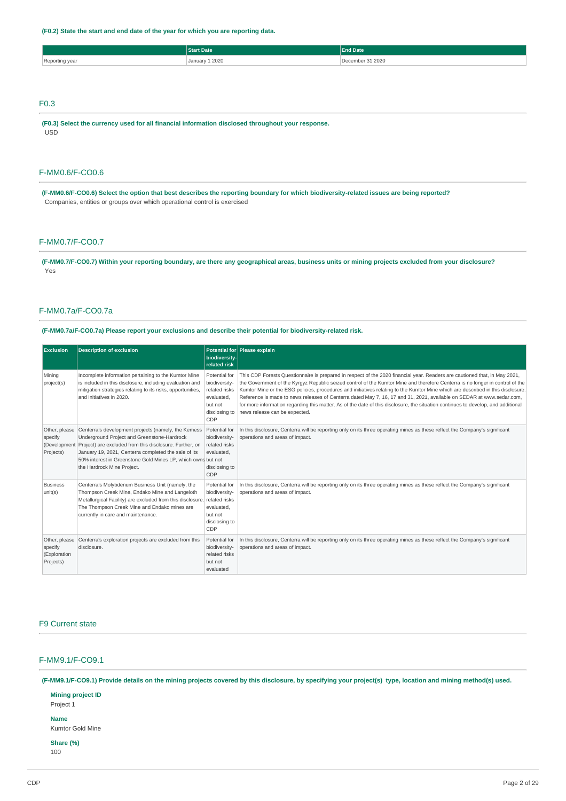# **(F0.2) State the start and end date of the year for which you are reporting data.**

|                | <b>Start Date</b> | <b>End Date</b>  |
|----------------|-------------------|------------------|
| Reporting year | January 1 2020    | December 31 2020 |
|                |                   |                  |
|                |                   |                  |
|                |                   |                  |

# F0.3

**(F0.3) Select the currency used for all financial information disclosed throughout your response.** USD

# F-MM0.6/F-CO0.6

(F-MM0.6/F-CO0.6) Select the option that best describes the reporting boundary for which biodiversity-related issues are being reported? Companies, entities or groups over which operational control is exercised

# F-MM0.7/F-CO0.7

(F-MM0.7/F-CO0.7) Within your reporting boundary, are there any geographical areas, business units or mining projects excluded from your disclosure? Yes

# F-MM0.7a/F-CO0.7a

**(F-MM0.7a/F-CO0.7a) Please report your exclusions and describe their potential for biodiversity-related risk.**

| <b>Exclusion</b>                                      | <b>Description of exclusion</b>                                                                                                                                                                                                                                                                                                     | biodiversity-<br>related risk                                                                    | Potential for Please explain                                                                                                                                                                                                                                                                                                                                                                                                                                                                                                                                                                                                                                                                  |
|-------------------------------------------------------|-------------------------------------------------------------------------------------------------------------------------------------------------------------------------------------------------------------------------------------------------------------------------------------------------------------------------------------|--------------------------------------------------------------------------------------------------|-----------------------------------------------------------------------------------------------------------------------------------------------------------------------------------------------------------------------------------------------------------------------------------------------------------------------------------------------------------------------------------------------------------------------------------------------------------------------------------------------------------------------------------------------------------------------------------------------------------------------------------------------------------------------------------------------|
| Mining<br>project(s)                                  | Incomplete information pertaining to the Kumtor Mine<br>is included in this disclosure, including evaluation and<br>mitigation strategies relating to its risks, opportunities,<br>and initiatives in 2020.                                                                                                                         | Potential for<br>biodiversity-<br>related risks<br>evaluated,<br>but not<br>disclosing to<br>CDP | This CDP Forests Questionnaire is prepared in respect of the 2020 financial year. Readers are cautioned that, in May 2021,<br>the Government of the Kyrgyz Republic seized control of the Kumtor Mine and therefore Centerra is no longer in control of the<br>Kumtor Mine or the ESG policies, procedures and initiatives relating to the Kumtor Mine which are described in this disclosure.<br>Reference is made to news releases of Centerra dated May 7, 16, 17 and 31, 2021, available on SEDAR at www.sedar.com,<br>for more information regarding this matter. As of the date of this disclosure, the situation continues to develop, and additional<br>news release can be expected. |
| Other, please<br>specify<br>(Development<br>Projects) | Centerra's development projects (namely, the Kemess   Potential for<br>Underground Project and Greenstone-Hardrock<br>Project) are excluded from this disclosure. Further, on<br>January 19, 2021, Centerra completed the sale of its<br>50% interest in Greenstone Gold Mines LP, which owns but not<br>the Hardrock Mine Project. | biodiversity-<br>related risks<br>evaluated.<br>disclosing to<br>CDP                             | In this disclosure, Centerra will be reporting only on its three operating mines as these reflect the Company's significant<br>operations and areas of impact.                                                                                                                                                                                                                                                                                                                                                                                                                                                                                                                                |
| <b>Business</b><br>unit(s)                            | Centerra's Molybdenum Business Unit (namely, the<br>Thompson Creek Mine, Endako Mine and Langeloth<br>Metallurgical Facility) are excluded from this disclosure. related risks<br>The Thompson Creek Mine and Endako mines are<br>currently in care and maintenance.                                                                | Potential for<br>biodiversity-<br>evaluated,<br>but not<br>disclosing to<br>CDP                  | In this disclosure, Centerra will be reporting only on its three operating mines as these reflect the Company's significant<br>operations and areas of impact.                                                                                                                                                                                                                                                                                                                                                                                                                                                                                                                                |
| Other, please<br>specify<br>(Exploration<br>Projects) | Centerra's exploration projects are excluded from this<br>disclosure.                                                                                                                                                                                                                                                               | Potential for<br>biodiversity-<br>related risks<br>but not<br>evaluated                          | In this disclosure, Centerra will be reporting only on its three operating mines as these reflect the Company's significant<br>operations and areas of impact.                                                                                                                                                                                                                                                                                                                                                                                                                                                                                                                                |

# F9 Current state

# F-MM9.1/F-CO9.1

(F-MM9.1/F-CO9.1) Provide details on the mining projects covered by this disclosure, by specifying your project(s) type, location and mining method(s) used.

**Mining project ID** Project 1

# **Name**

Kumtor Gold Mine

# **Share (%)**

100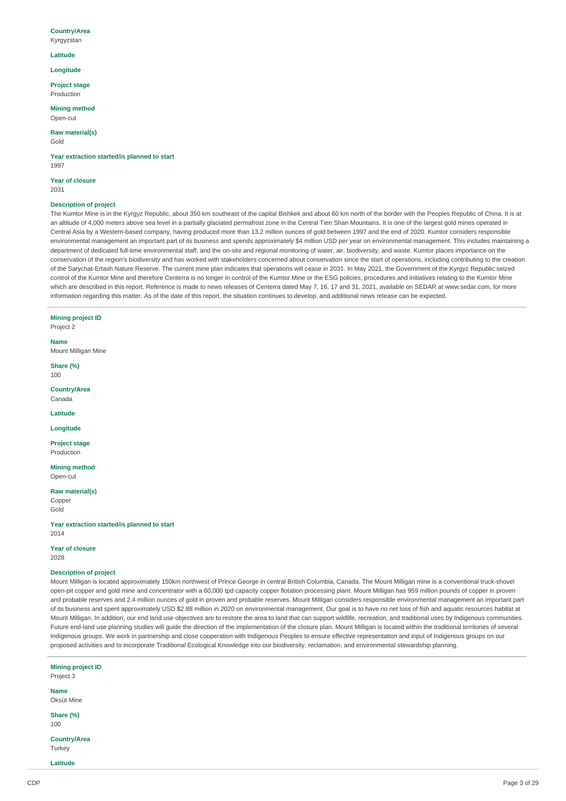#### **Country/Area**

Kyrgyzstan

### **Latitude**

**Longitude**

**Project stage** Production

**Mining method** Open-cut

**Raw material(s)** Gold

**Year extraction started/is planned to start** 1997

**Year of closure** 2031

# **Description of project**

The Kumtor Mine is in the Kyrgyz Republic, about 350 km southeast of the capital Bishkek and about 60 km north of the border with the Peoples Republic of China. It is at an altitude of 4,000 meters above sea level in a partially glaciated permafrost zone in the Central Tien Shan Mountains. It is one of the largest gold mines operated in Central Asia by a Western-based company, having produced more than 13.2 million ounces of gold between 1997 and the end of 2020. Kumtor considers responsible environmental management an important part of its business and spends approximately \$4 million USD per year on environmental management. This includes maintaining a department of dedicated full-time environmental staff, and the on-site and regional monitoring of water, air, biodiversity, and waste. Kumtor places importance on the conservation of the region's biodiversity and has worked with stakeholders concerned about conservation since the start of operations, including contributing to the creation of the Sarychat-Ertash Nature Reserve. The current mine plan indicates that operations will cease in 2031. In May 2021, the Government of the Kyrgyz Republic seized control of the Kumtor Mine and therefore Centerra is no longer in control of the Kumtor Mine or the ESG policies, procedures and initiatives relating to the Kumtor Mine which are described in this report. Reference is made to news releases of Centerra dated May 7, 16, 17 and 31, 2021, available on SEDAR at www.sedar.com, for more information regarding this matter. As of the date of this report, the situation continues to develop, and additional news release can be expected.

**Mining project ID** Project 2

**Name** Mount Milligan Mine

**Share (%)** 100

**Country/Area** Canada

**Latitude**

**Longitude**

**Project stage** Production

**Mining method** Open-cut

**Raw material(s)**

**Copper** Gold

**Year extraction started/is planned to start** 2014

#### **Year of closure**

2028

## **Description of project**

Mount Milligan is located approximately 150km northwest of Prince George in central British Columbia, Canada. The Mount Milligan mine is a conventional truck-shovel open-pit copper and gold mine and concentrator with a 60,000 tpd capacity copper flotation processing plant. Mount Milligan has 959 million pounds of copper in proven and probable reserves and 2.4 million ounces of gold in proven and probable reserves. Mount Milligan considers responsible environmental management an important part of its business and spent approximately USD \$2.88 million in 2020 on environmental management. Our goal is to have no net loss of fish and aquatic resources habitat at Mount Milligan. In addition, our end land use objectives are to restore the area to land that can support wildlife, recreation, and traditional uses by Indigenous communities. Future end-land use planning studies will guide the direction of the implementation of the closure plan. Mount Milligan is located within the traditional territories of several Indigenous groups. We work in partnership and close cooperation with Indigenous Peoples to ensure effective representation and input of Indigenous groups on our proposed activities and to incorporate Traditional Ecological Knowledge into our biodiversity, reclamation, and environmental stewardship planning.

**Mining project ID** Project 3 **Name** Öksüt Mine **Share (%)** 100 **Country/Area Turkey Latitude**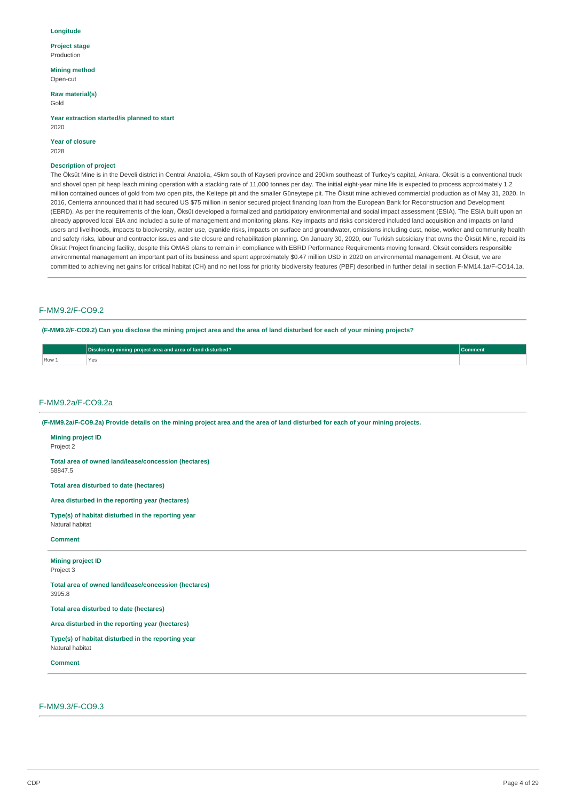#### **Longitude**

**Project stage** Production

**Mining method**

Open-cut

#### **Raw material(s)** Gold

**Year extraction started/is planned to start** 2020

# **Year of closure**

2028

## **Description of project**

The Öksüt Mine is in the Develi district in Central Anatolia, 45km south of Kayseri province and 290km southeast of Turkey's capital, Ankara. Öksüt is a conventional truck and shovel open pit heap leach mining operation with a stacking rate of 11,000 tonnes per day. The initial eight-year mine life is expected to process approximately 1.2 million contained ounces of gold from two open pits, the Keltepe pit and the smaller Güneytepe pit. The Öksüt mine achieved commercial production as of May 31, 2020. In 2016, Centerra announced that it had secured US \$75 million in senior secured project financing loan from the European Bank for Reconstruction and Development (EBRD). As per the requirements of the loan, Öksüt developed a formalized and participatory environmental and social impact assessment (ESIA). The ESIA built upon an already approved local EIA and included a suite of management and monitoring plans. Key impacts and risks considered included land acquisition and impacts on land users and livelihoods, impacts to biodiversity, water use, cyanide risks, impacts on surface and groundwater, emissions including dust, noise, worker and community health and safety risks, labour and contractor issues and site closure and rehabilitation planning. On January 30, 2020, our Turkish subsidiary that owns the Öksüt Mine, repaid its Öksüt Project financing facility, despite this OMAS plans to remain in compliance with EBRD Performance Requirements moving forward. Öksüt considers responsible environmental management an important part of its business and spent approximately \$0.47 million USD in 2020 on environmental management. At Öksüt, we are committed to achieving net gains for critical habitat (CH) and no net loss for priority biodiversity features (PBF) described in further detail in section F-MM14.1a/F-CO14.1a.

# F-MM9.2/F-CO9.2

(F-MM9.2/F-CO9.2) Can you disclose the mining project area and the area of land disturbed for each of your mining projects?

|                          | Disclosing mining project area and area of land disturbed?                                                                      | <b>Comment</b> |
|--------------------------|---------------------------------------------------------------------------------------------------------------------------------|----------------|
| Row 1                    | Yes                                                                                                                             |                |
|                          |                                                                                                                                 |                |
|                          |                                                                                                                                 |                |
|                          |                                                                                                                                 |                |
|                          | $F-MM9.2a/F-CO9.2a$                                                                                                             |                |
|                          |                                                                                                                                 |                |
|                          | (F-MM9.2a/F-CO9.2a) Provide details on the mining project area and the area of land disturbed for each of your mining projects. |                |
| <b>Mining project ID</b> |                                                                                                                                 |                |
| Project 2                |                                                                                                                                 |                |

**Total area of owned land/lease/concession (hectares)** 58847.5

**Total area disturbed to date (hectares)**

**Area disturbed in the reporting year (hectares)**

**Type(s) of habitat disturbed in the reporting year** Natural habitat

## **Comment**

# **Mining project ID**

Project 3

**Total area of owned land/lease/concession (hectares)** 3995.8

**Total area disturbed to date (hectares)**

**Area disturbed in the reporting year (hectares)**

**Type(s) of habitat disturbed in the reporting year**

Natural habitat

**Comment**

F-MM9.3/F-CO9.3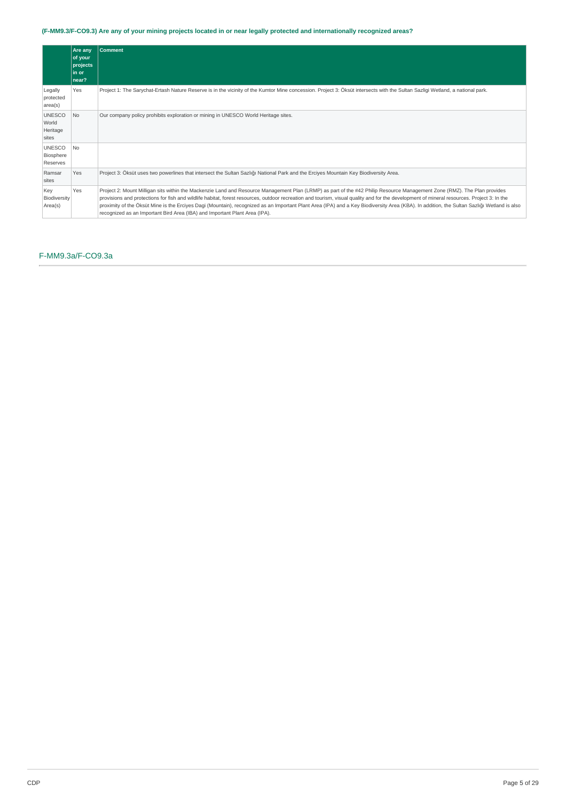# (F-MM9.3/F-CO9.3) Are any of your mining projects located in or near legally protected and internationally recognized areas?

|                                             | Are any<br>of your<br>projects<br>l in or<br>near? | <b>Comment</b>                                                                                                                                                                                                                                                                                                                                                                                                                                                                                                                                                                                                                                     |
|---------------------------------------------|----------------------------------------------------|----------------------------------------------------------------------------------------------------------------------------------------------------------------------------------------------------------------------------------------------------------------------------------------------------------------------------------------------------------------------------------------------------------------------------------------------------------------------------------------------------------------------------------------------------------------------------------------------------------------------------------------------------|
| Legally<br>protected<br>area(s)             | Yes                                                | Project 1: The Sarychat-Ertash Nature Reserve is in the vicinity of the Kumtor Mine concession. Project 3: Öksüt intersects with the Sultan Sazligi Wetland, a national park.                                                                                                                                                                                                                                                                                                                                                                                                                                                                      |
| <b>UNESCO</b><br>World<br>Heritage<br>sites | N <sub>o</sub>                                     | Our company policy prohibits exploration or mining in UNESCO World Heritage sites.                                                                                                                                                                                                                                                                                                                                                                                                                                                                                                                                                                 |
| <b>UNESCO</b><br>Biosphere<br>Reserves      | No.                                                |                                                                                                                                                                                                                                                                                                                                                                                                                                                                                                                                                                                                                                                    |
| Ramsar<br>sites                             | Yes                                                | Project 3: Öksüt uses two powerlines that intersect the Sultan Sazlığı National Park and the Erciyes Mountain Key Biodiversity Area.                                                                                                                                                                                                                                                                                                                                                                                                                                                                                                               |
| Key<br>Biodiversity<br>Area(s)              | Yes                                                | Project 2: Mount Milligan sits within the Mackenzie Land and Resource Management Plan (LRMP) as part of the #42 Philip Resource Management Zone (RMZ). The Plan provides<br>provisions and protections for fish and wildlife habitat, forest resources, outdoor recreation and tourism, visual quality and for the development of mineral resources. Project 3: In the<br>proximity of the Öksüt Mine is the Erciyes Dagi (Mountain), recognized as an Important Plant Area (IPA) and a Key Biodiversity Area (KBA). In addition, the Sultan Sazlığı Wetland is also<br>recognized as an Important Bird Area (IBA) and Important Plant Area (IPA). |

# F-MM9.3a/F-CO9.3a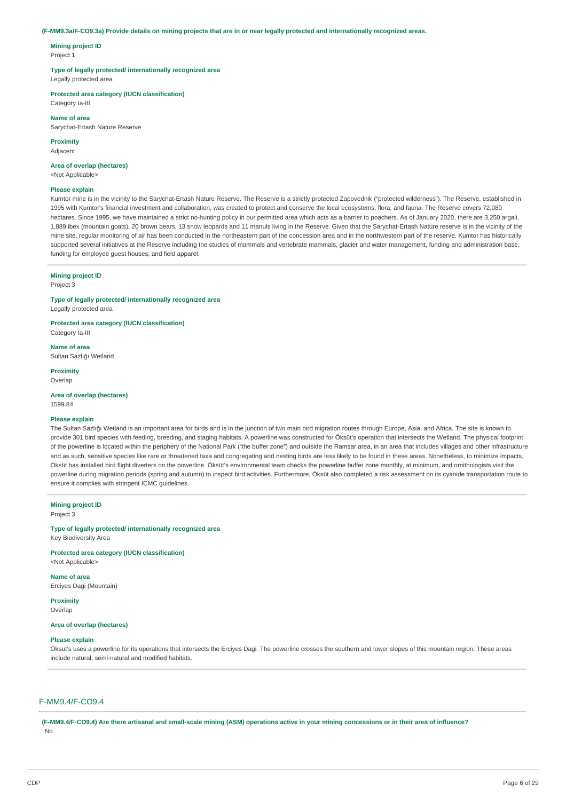#### (F-MM9.3a/F-CO9.3a) Provide details on mining projects that are in or near legally protected and internationally recognized areas.

**Mining project ID** Project 1

### **Type of legally protected/ internationally recognized area**

Legally protected area

**Protected area category (IUCN classification)**

Category Ia-III

**Name of area** Sarychat-Ertash Nature Reserve

**Proximity**

Adjacent

# **Area of overlap (hectares)**

<Not Applicable>

#### **Please explain**

Kumtor mine is in the vicinity to the Sarychat-Ertash Nature Reserve. The Reserve is a strictly protected Zapovednik ("protected wilderness"). The Reserve, established in 1995 with Kumtor's financial investment and collaboration, was created to protect and conserve the local ecosystems, flora, and fauna. The Reserve covers 72,080 hectares. Since 1995, we have maintained a strict no-hunting policy in our permitted area which acts as a barrier to poachers. As of January 2020, there are 3,250 argali, 1,889 ibex (mountain goats), 20 brown bears, 13 snow leopards and 11 manuls living in the Reserve. Given that the Sarychat-Ertash Nature reserve is in the vicinity of the mine site, regular monitoring of air has been conducted in the northeastern part of the concession area and in the northwestern part of the reserve. Kumtor has historically supported several initiatives at the Reserve including the studies of mammals and vertebrate mammals, glacier and water management, funding and administration base, funding for employee guest houses, and field apparel.

## **Mining project ID**

Project 3

**Type of legally protected/ internationally recognized area**

Legally protected area

**Protected area category (IUCN classification)** Category Ia-III

**Name of area** Sultan Sazlığı Wetland

**Proximity** Overlap

**Area of overlap (hectares)** 1599.84

#### **Please explain**

The Sultan Sazlığı Wetland is an important area for birds and is in the junction of two main bird migration routes through Europe, Asia, and Africa. The site is known to provide 301 bird species with feeding, breeding, and staging habitats. A powerline was constructed for Öksüt's operation that intersects the Wetland. The physical footprint of the powerline is located within the periphery of the National Park ("the buffer zone") and outside the Ramsar area, in an area that includes villages and other infrastructure and as such, sensitive species like rare or threatened taxa and congregating and nesting birds are less likely to be found in these areas. Nonetheless, to minimize impacts, Öksüt has installed bird flight diverters on the powerline. Öksüt's environmental team checks the powerline buffer zone monthly, at minimum, and ornithologists visit the powerline during migration periods (spring and autumn) to inspect bird activities. Furthermore, Öksüt also completed a risk assessment on its cyanide transportation route to ensure it complies with stringent ICMC guidelines.

**Mining project ID** Project 3

#### **Type of legally protected/ internationally recognized area**

Key Biodiversity Area

**Protected area category (IUCN classification)** <Not Applicable>

**Name of area** Erciyes Dagi (Mountain)

**Proximity** Overlan

### **Area of overlap (hectares)**

#### **Please explain**

Öksüt's uses a powerline for its operations that intersects the Erciyes Dagi. The powerline crosses the southern and lower slopes of this mountain region. These areas include natural, semi-natural and modified habitats.

## F-MM9.4/F-CO9.4

(E-MM9.4/E-CO9.4) Are there artisanal and small-scale mining (ASM) operations active in your mining concessions or in their area of influence? No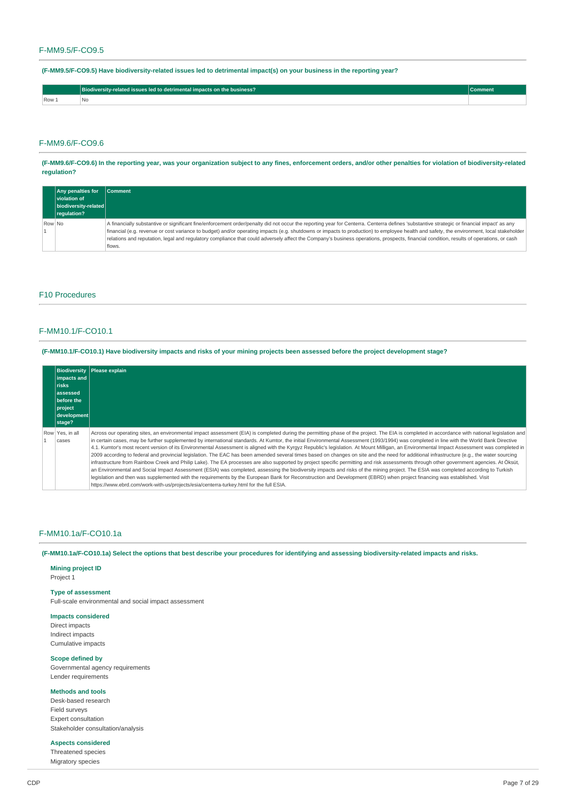# F-MM9.5/F-CO9.5

**(F-MM9.5/F-CO9.5) Have biodiversity-related issues led to detrimental impact(s) on your business in the reporting year?**

|      | - -<br>Biodiversity-related issues led to detrimental impacts on the business? |  |
|------|--------------------------------------------------------------------------------|--|
| Row: | ∃Nc.                                                                           |  |

# F-MM9.6/F-CO9.6

(F-MM9.6/F-CO9.6) In the reporting year, was your organization subject to any fines, enforcement orders, and/or other penalties for violation of biodiversity-related **regulation?**

|        | <b>Any penalties for</b><br><b>Violation of</b><br>biodiversity-related<br>regulation? | <b>Comment</b>                                                                                                                                                                                                                                                                                                                                                                                                                                                                                                                                                                              |
|--------|----------------------------------------------------------------------------------------|---------------------------------------------------------------------------------------------------------------------------------------------------------------------------------------------------------------------------------------------------------------------------------------------------------------------------------------------------------------------------------------------------------------------------------------------------------------------------------------------------------------------------------------------------------------------------------------------|
| Row No |                                                                                        | A financially substantive or significant fine/enforcement order/penalty did not occur the reporting year for Centerra. Centerra defines 'substantive strategic or financial impact' as any<br>financial (e.g. revenue or cost variance to budget) and/or operating impacts (e.g. shutdowns or impacts to production) to employee health and safety, the environment, local stakeholder<br>relations and reputation, legal and regulatory compliance that could adversely affect the Company's business operations, prospects, financial condition, results of operations, or cash<br>flows. |

## F10 Procedures

# F-MM10.1/F-CO10.1

(F-MM10.1/F-CO10.1) Have biodiversity impacts and risks of your mining projects been assessed before the project development stage?

| impacts and<br><b>Trisks</b><br>lassessed<br>before the<br>$ $ project<br>development<br>stage? | Biodiversity Please explain                                                                                                                                                                                                                                                                                                                                                                                                                                                                                                                                                                                                                                                                                                                                                                                                                                                                                                                                                                                                                                                                                                                                                                                                                                                                                                                                                                                                                        |
|-------------------------------------------------------------------------------------------------|----------------------------------------------------------------------------------------------------------------------------------------------------------------------------------------------------------------------------------------------------------------------------------------------------------------------------------------------------------------------------------------------------------------------------------------------------------------------------------------------------------------------------------------------------------------------------------------------------------------------------------------------------------------------------------------------------------------------------------------------------------------------------------------------------------------------------------------------------------------------------------------------------------------------------------------------------------------------------------------------------------------------------------------------------------------------------------------------------------------------------------------------------------------------------------------------------------------------------------------------------------------------------------------------------------------------------------------------------------------------------------------------------------------------------------------------------|
| Row Yes, in all<br>cases                                                                        | Across our operating sites, an environmental impact assessment (EIA) is completed during the permitting phase of the project. The EIA is completed in accordance with national legislation and<br>in certain cases, may be further supplemented by international standards. At Kumtor, the initial Environmental Assessment (1993/1994) was completed in line with the World Bank Directive<br>4.1. Kumtor's most recent version of its Environmental Assessment is aligned with the Kyrgyz Republic's legislation. At Mount Milligan, an Environmental Impact Assessment was completed in<br>2009 according to federal and provincial legislation. The EAC has been amended several times based on changes on site and the need for additional infrastructure (e.g., the water sourcing<br>infrastructure from Rainbow Creek and Philip Lake). The EA processes are also supported by project specific permitting and risk assessments through other government agencies. At Öksüt,<br>an Environmental and Social Impact Assessment (ESIA) was completed, assessing the biodiversity impacts and risks of the mining project. The ESIA was completed according to Turkish<br>legislation and then was supplemented with the requirements by the European Bank for Reconstruction and Development (EBRD) when project financing was established. Visit<br>https://www.ebrd.com/work-with-us/projects/esia/centerra-turkey.html for the full ESIA. |

### F-MM10.1a/F-CO10.1a

(F-MM10.1a/F-CO10.1a) Select the options that best describe your procedures for identifying and assessing biodiversity-related impacts and risks.

# **Mining project ID**

Project 1

# **Type of assessment**

Full-scale environmental and social impact assessment

### **Impacts considered**

Direct impacts Indirect impacts Cumulative impacts

# **Scope defined by**

Governmental agency requirements Lender requirements

# **Methods and tools**

Desk-based research Field surveys Expert consultation Stakeholder consultation/analysis

# **Aspects considered**

Threatened species Migratory species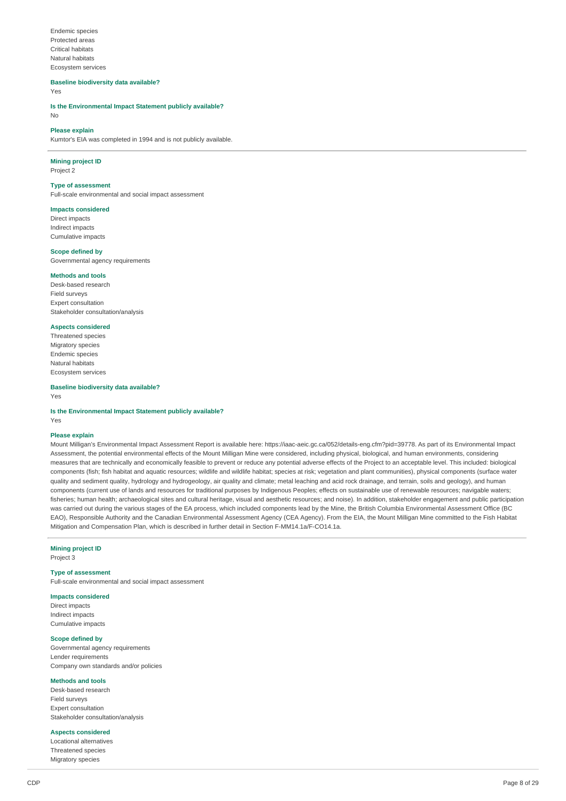Endemic species Protected areas Critical habitats Natural habitats Ecosystem services

**Baseline biodiversity data available?**

Yes

**Is the Environmental Impact Statement publicly available?** No

# **Please explain**

Kumtor's EIA was completed in 1994 and is not publicly available.

# **Mining project ID**

Project 2

# **Type of assessment**

Full-scale environmental and social impact assessment

#### **Impacts considered**

Direct impacts Indirect impacts Cumulative impacts

## **Scope defined by**

Governmental agency requirements

# **Methods and tools**

Desk-based research Field surveys Expert consultation Stakeholder consultation/analysis

## **Aspects considered**

Threatened species Migratory species Endemic species Natural habitats Ecosystem services

# **Baseline biodiversity data available?**

Yes

### **Is the Environmental Impact Statement publicly available?** Yes

**Please explain**

Mount Milligan's Environmental Impact Assessment Report is available here: https://iaac-aeic.gc.ca/052/details-eng.cfm?pid=39778. As part of its Environmental Impact Assessment, the potential environmental effects of the Mount Milligan Mine were considered, including physical, biological, and human environments, considering measures that are technically and economically feasible to prevent or reduce any potential adverse effects of the Project to an acceptable level. This included: biological components (fish; fish habitat and aquatic resources; wildlife and wildlife habitat; species at risk; vegetation and plant communities), physical components (surface water quality and sediment quality, hydrology and hydrogeology, air quality and climate; metal leaching and acid rock drainage, and terrain, soils and geology), and human components (current use of lands and resources for traditional purposes by Indigenous Peoples; effects on sustainable use of renewable resources; navigable waters; fisheries; human health; archaeological sites and cultural heritage, visual and aesthetic resources; and noise). In addition, stakeholder engagement and public participation was carried out during the various stages of the EA process, which included components lead by the Mine, the British Columbia Environmental Assessment Office (BC EAO), Responsible Authority and the Canadian Environmental Assessment Agency (CEA Agency). From the EIA, the Mount Milligan Mine committed to the Fish Habitat Mitigation and Compensation Plan, which is described in further detail in Section F-MM14.1a/F-CO14.1a.

### **Mining project ID**

Project 3

### **Type of assessment**

Full-scale environmental and social impact assessment

### **Impacts considered**

Direct impacts Indirect impacts Cumulative impacts

# **Scope defined by**

Governmental agency requirements Lender requirements Company own standards and/or policies

### **Methods and tools**

Desk-based research Field surveys Expert consultation Stakeholder consultation/analysis

# **Aspects considered**

Locational alternatives Threatened species Migratory species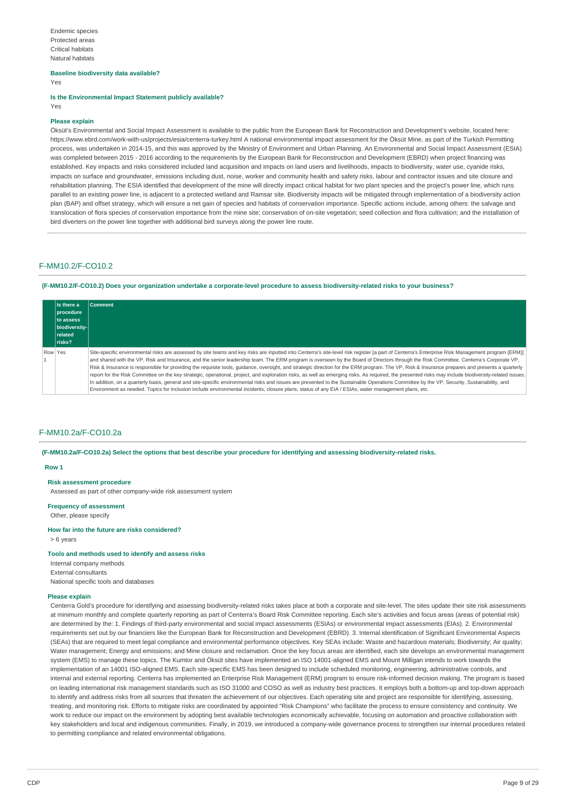# **Baseline biodiversity data available?**

Yes

**Is the Environmental Impact Statement publicly available?** Yes

## **Please explain**

Öksüt's Environmental and Social Impact Assessment is available to the public from the European Bank for Reconstruction and Development's website, located here: https://www.ebrd.com/work-with-us/projects/esia/centerra-turkey.html A national environmental impact assessment for the Öksüt Mine, as part of the Turkish Permitting process, was undertaken in 2014-15, and this was approved by the Ministry of Environment and Urban Planning. An Environmental and Social Impact Assessment (ESIA) was completed between 2015 - 2016 according to the requirements by the European Bank for Reconstruction and Development (EBRD) when project financing was established. Key impacts and risks considered included land acquisition and impacts on land users and livelihoods, impacts to biodiversity, water use, cyanide risks, impacts on surface and groundwater, emissions including dust, noise, worker and community health and safety risks, labour and contractor issues and site closure and rehabilitation planning. The ESIA identified that development of the mine will directly impact critical habitat for two plant species and the project's power line, which runs parallel to an existing power line, is adjacent to a protected wetland and Ramsar site. Biodiversity impacts will be mitigated through implementation of a biodiversity action plan (BAP) and offset strategy, which will ensure a net gain of species and habitats of conservation importance. Specific actions include, among others: the salvage and translocation of flora species of conservation importance from the mine site; conservation of on-site vegetation; seed collection and flora cultivation; and the installation of bird diverters on the power line together with additional bird surveys along the power line route.

## F-MM10.2/F-CO10.2

(F-MM10.2/F-CO10.2) Does your organization undertake a corporate-level procedure to assess biodiversity-related risks to your business?

|         | <b>Is there a</b><br><b>procedure</b><br>to assess<br>biodiversity-<br><b>related</b><br><b>Trisks?</b> | <b>Comment</b>                                                                                                                                                                                                                                                                                                                                                                                                                                                                                                                                                                                                                                                                                                                                                                                                                                                                                                                                                                                                                                                                                                                                              |
|---------|---------------------------------------------------------------------------------------------------------|-------------------------------------------------------------------------------------------------------------------------------------------------------------------------------------------------------------------------------------------------------------------------------------------------------------------------------------------------------------------------------------------------------------------------------------------------------------------------------------------------------------------------------------------------------------------------------------------------------------------------------------------------------------------------------------------------------------------------------------------------------------------------------------------------------------------------------------------------------------------------------------------------------------------------------------------------------------------------------------------------------------------------------------------------------------------------------------------------------------------------------------------------------------|
| Row Yes |                                                                                                         | Site-specific environmental risks are assessed by site teams and key risks are inputted into Centerra's site-level risk register [a part of Centerra's Enterprise Risk Management program (ERM)]<br>and shared with the VP, Risk and Insurance, and the senior leadership team. The ERM program is overseen by the Board of Directors through the Risk Committee. Centerra's Corporate VP,<br>Risk & Insurance is responsible for providing the requisite tools, quidance, oversight, and strategic direction for the ERM program. The VP, Risk & Insurance prepares and presents a quarterly<br>report for the Risk Committee on the key strategic, operational, project, and exploration risks, as well as emerging risks. As required, the presented risks may include biodiversity-related issues.<br>In addition, on a quarterly basis, general and site-specific environmental risks and issues are presented to the Sustainable Operations Committee by the VP, Security, Sustainability, and<br>Environment as needed. Topics for inclusion include environmental incidents, closure plans, status of any EIA / ESIAs, water management plans, etc. |

### F-MM10.2a/F-CO10.2a

(F-MM10.2a/F-CO10.2a) Select the options that best describe your procedure for identifying and assessing biodiversity-related risks.

### **Row 1**

### **Risk assessment procedure**

Assessed as part of other company-wide risk assessment system

### **Frequency of assessment**

Other, please specify

### **How far into the future are risks considered?**

> 6 years

## **Tools and methods used to identify and assess risks**

Internal company methods External consultants National specific tools and databases

### **Please explain**

Centerra Gold's procedure for identifying and assessing biodiversity-related risks takes place at both a corporate and site-level. The sites update their site risk assessments at minimum monthly and complete quarterly reporting as part of Centerra's Board Risk Committee reporting. Each site's activities and focus areas (areas of potential risk) are determined by the: 1. Findings of third-party environmental and social impact assessments (ESIAs) or environmental impact assessments (EIAs). 2. Environmental requirements set out by our financiers like the European Bank for Reconstruction and Development (EBRD). 3. Internal identification of Significant Environmental Aspects (SEAs) that are required to meet legal compliance and environmental performance objectives. Key SEAs include: Waste and hazardous materials; Biodiversity; Air quality; Water management; Energy and emissions; and Mine closure and reclamation. Once the key focus areas are identified, each site develops an environmental management system (EMS) to manage these topics. The Kumtor and Öksüt sites have implemented an ISO 14001-aligned EMS and Mount Milligan intends to work towards the implementation of an 14001 ISO-aligned EMS. Each site-specific EMS has been designed to include scheduled monitoring, engineering, administrative controls, and internal and external reporting. Centerra has implemented an Enterprise Risk Management (ERM) program to ensure risk-informed decision making. The program is based on leading international risk management standards such as ISO 31000 and COSO as well as industry best practices. It employs both a bottom-up and top-down approach to identify and address risks from all sources that threaten the achievement of our objectives. Each operating site and project are responsible for identifying, assessing, treating, and monitoring risk. Efforts to mitigate risks are coordinated by appointed "Risk Champions" who facilitate the process to ensure consistency and continuity. We work to reduce our impact on the environment by adopting best available technologies economically achievable, focusing on automation and proactive collaboration with key stakeholders and local and indigenous communities. Finally, in 2019, we introduced a company-wide governance process to strengthen our internal procedures related to permitting compliance and related environmental obligations.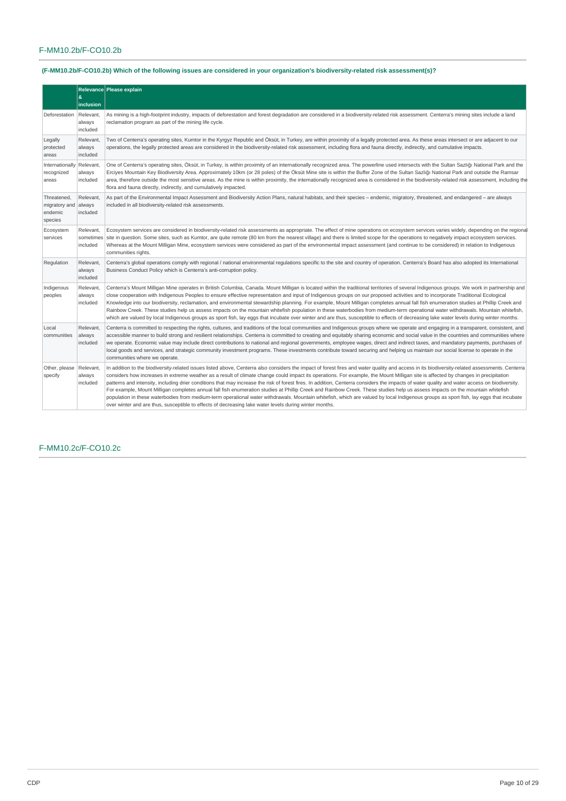# F-MM10.2b/F-CO10.2b

|                                                    |                                    | Relevance Please explain                                                                                                                                                                                                                                                                                                                                                                                                                                                                                                                                                                                                                                                                                                                                                                                                                                                                                                                                                                                                                                                  |
|----------------------------------------------------|------------------------------------|---------------------------------------------------------------------------------------------------------------------------------------------------------------------------------------------------------------------------------------------------------------------------------------------------------------------------------------------------------------------------------------------------------------------------------------------------------------------------------------------------------------------------------------------------------------------------------------------------------------------------------------------------------------------------------------------------------------------------------------------------------------------------------------------------------------------------------------------------------------------------------------------------------------------------------------------------------------------------------------------------------------------------------------------------------------------------|
|                                                    | &<br>inclusion                     |                                                                                                                                                                                                                                                                                                                                                                                                                                                                                                                                                                                                                                                                                                                                                                                                                                                                                                                                                                                                                                                                           |
| Deforestation                                      | Relevant.<br>always<br>included    | As mining is a high-footprint industry, impacts of deforestation and forest degradation are considered in a biodiversity-related risk assessment. Centerra's mining sites include a land<br>reclamation program as part of the mining life cycle.                                                                                                                                                                                                                                                                                                                                                                                                                                                                                                                                                                                                                                                                                                                                                                                                                         |
| Legally<br>protected<br>areas                      | Relevant.<br>always<br>included    | Two of Centerra's operating sites, Kumtor in the Kyrgyz Republic and Öksüt, in Turkey, are within proximity of a legally protected area. As these areas intersect or are adjacent to our<br>operations, the legally protected areas are considered in the biodiversity-related risk assessment, including flora and fauna directly, indirectly, and cumulative impacts.                                                                                                                                                                                                                                                                                                                                                                                                                                                                                                                                                                                                                                                                                                   |
| Internationally<br>recognized<br>areas             | Relevant.<br>always<br>included    | One of Centerra's operating sites, Öksüt, in Turkey, is within proximity of an internationally recognized area. The powerline used intersects with the Sultan Sazlığı National Park and the<br>Erciyes Mountain Key Biodiversity Area. Approximately 10km (or 28 poles) of the Öksüt Mine site is within the Buffer Zone of the Sultan Sazlığı National Park and outside the Ramsar<br>area, therefore outside the most sensitive areas. As the mine is within proximity, the internationally recognized area is considered in the biodiversity-related risk assessment, including the<br>flora and fauna directly, indirectly, and cumulatively impacted.                                                                                                                                                                                                                                                                                                                                                                                                                |
| Threatened,<br>migratory and<br>endemic<br>species | Relevant,<br>always<br>included    | As part of the Environmental Impact Assessment and Biodiversity Action Plans, natural habitats, and their species – endemic, migratory, threatened, and endangered – are always<br>included in all biodiversity-related risk assessments.                                                                                                                                                                                                                                                                                                                                                                                                                                                                                                                                                                                                                                                                                                                                                                                                                                 |
| Ecosystem<br>services                              | Relevant,<br>sometimes<br>included | Ecosystem services are considered in biodiversity-related risk assessments as appropriate. The effect of mine operations on ecosystem services varies widely, depending on the regional<br>site in question. Some sites, such as Kumtor, are quite remote (80 km from the nearest village) and there is limited scope for the operations to negatively impact ecosystem services.<br>Whereas at the Mount Milligan Mine, ecosystem services were considered as part of the environmental impact assessment (and continue to be considered) in relation to Indigenous<br>communities rights.                                                                                                                                                                                                                                                                                                                                                                                                                                                                               |
| Regulation                                         | Relevant,<br>always<br>included    | Centerra's global operations comply with regional / national environmental regulations specific to the site and country of operation. Centerra's Board has also adopted its International<br>Business Conduct Policy which is Centerra's anti-corruption policy.                                                                                                                                                                                                                                                                                                                                                                                                                                                                                                                                                                                                                                                                                                                                                                                                          |
| Indigenous<br>peoples                              | Relevant,<br>always<br>included    | Centerra's Mount Milligan Mine operates in British Columbia, Canada. Mount Milligan is located within the traditional territories of several Indigenous groups. We work in partnership and<br>close cooperation with Indigenous Peoples to ensure effective representation and input of Indigenous groups on our proposed activities and to incorporate Traditional Ecological<br>Knowledge into our biodiversity, reclamation, and environmental stewardship planning. For example, Mount Milligan completes annual fall fish enumeration studies at Phillip Creek and<br>Rainbow Creek. These studies help us assess impacts on the mountain whitefish population in these waterbodies from medium-term operational water withdrawals. Mountain whitefish,<br>which are valued by local Indigenous groups as sport fish, lay eggs that incubate over winter and are thus, susceptible to effects of decreasing lake water levels during winter months.                                                                                                                  |
| Local<br>communities                               | Relevant.<br>always<br>included    | Centerra is committed to respecting the rights, cultures, and traditions of the local communities and Indigenous groups where we operate and engaging in a transparent, consistent, and<br>accessible manner to build strong and resilient relationships. Centerra is committed to creating and equitably sharing economic and social value in the countries and communities where<br>we operate. Economic value may include direct contributions to national and regional governments, employee wages, direct and indirect taxes, and mandatory payments, purchases of<br>local goods and services, and strategic community investment programs. These investments contribute toward securing and helping us maintain our social license to operate in the<br>communities where we operate.                                                                                                                                                                                                                                                                              |
| Other, please<br>specify                           | Relevant.<br>always<br>included    | In addition to the biodiversity-related issues listed above, Centerra also considers the impact of forest fires and water quality and access in its biodiversity-related assessments. Centerra<br>considers how increases in extreme weather as a result of climate change could impact its operations. For example, the Mount Milligan site is affected by changes in precipitation<br>patterns and intensity, including drier conditions that may increase the risk of forest fires. In addition, Centerra considers the impacts of water quality and water access on biodiversity.<br>For example, Mount Milligan completes annual fall fish enumeration studies at Phillip Creek and Rainbow Creek. These studies help us assess impacts on the mountain whitefish<br>population in these waterbodies from medium-term operational water withdrawals. Mountain whitefish, which are valued by local Indigenous groups as sport fish, lay eggs that incubate<br>over winter and are thus, susceptible to effects of decreasing lake water levels during winter months. |

# F-MM10.2c/F-CO10.2c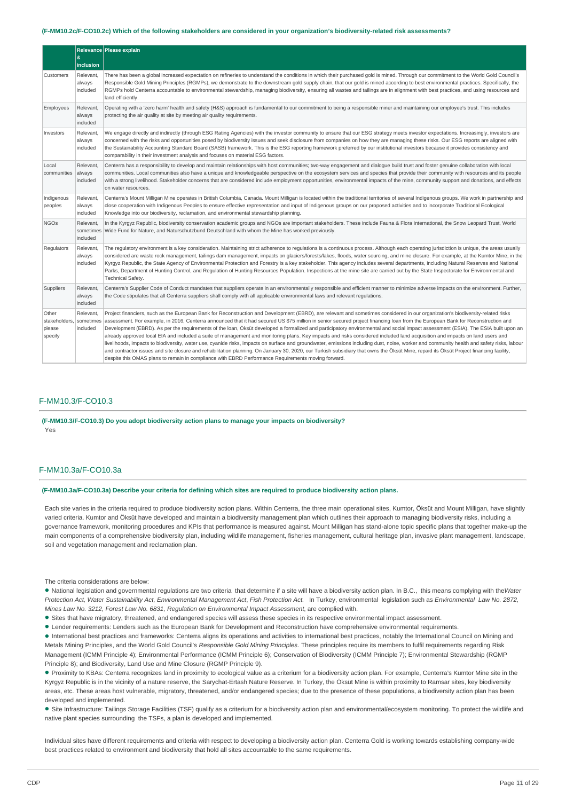#### (F-MM10.2c/F-CO10.2c) Which of the following stakeholders are considered in your organization's biodiversity-related risk assessments?

|                                             | &<br>inclusion                     | Relevance Please explain                                                                                                                                                                                                                                                                                                                                                                                                                                                                                                                                                                                                                                                                                                                                                                                                                                                                                                                                                                                                                                                                                                                                                                                                             |
|---------------------------------------------|------------------------------------|--------------------------------------------------------------------------------------------------------------------------------------------------------------------------------------------------------------------------------------------------------------------------------------------------------------------------------------------------------------------------------------------------------------------------------------------------------------------------------------------------------------------------------------------------------------------------------------------------------------------------------------------------------------------------------------------------------------------------------------------------------------------------------------------------------------------------------------------------------------------------------------------------------------------------------------------------------------------------------------------------------------------------------------------------------------------------------------------------------------------------------------------------------------------------------------------------------------------------------------|
| Customers                                   | Relevant,<br>always<br>included    | There has been a global increased expectation on refineries to understand the conditions in which their purchased gold is mined. Through our commitment to the World Gold Council's<br>Responsible Gold Mining Principles (RGMPs), we demonstrate to the downstream gold supply chain, that our gold is mined according to best environmental practices. Specifically, the<br>RGMPs hold Centerra accountable to environmental stewardship, managing biodiversity, ensuring all wastes and tailings are in alignment with best practices, and using resources and<br>land efficiently.                                                                                                                                                                                                                                                                                                                                                                                                                                                                                                                                                                                                                                               |
| Employees                                   | Relevant,<br>always<br>included    | Operating with a 'zero harm' health and safety (H&S) approach is fundamental to our commitment to being a responsible miner and maintaining our employee's trust. This includes<br>protecting the air quality at site by meeting air quality requirements.                                                                                                                                                                                                                                                                                                                                                                                                                                                                                                                                                                                                                                                                                                                                                                                                                                                                                                                                                                           |
| Investors                                   | Relevant,<br>always<br>included    | We engage directly and indirectly (through ESG Rating Agencies) with the investor community to ensure that our ESG strategy meets investor expectations. Increasingly, investors are<br>concerned with the risks and opportunities posed by biodiversity issues and seek disclosure from companies on how they are managing these risks. Our ESG reports are aligned with<br>the Sustainability Accounting Standard Board (SASB) framework. This is the ESG reporting framework preferred by our institutional investors because it provides consistency and<br>comparability in their investment analysis and focuses on material ESG factors.                                                                                                                                                                                                                                                                                                                                                                                                                                                                                                                                                                                      |
| Local<br>communities                        | Relevant,<br>always<br>included    | Centerra has a responsibility to develop and maintain relationships with host communities; two-way engagement and dialoque build trust and foster genuine collaboration with local<br>communities. Local communities also have a unique and knowledgeable perspective on the ecosystem services and species that provide their community with resources and its people<br>with a strong livelihood. Stakeholder concerns that are considered include employment opportunities, environmental impacts of the mine, community support and donations, and effects<br>on water resources.                                                                                                                                                                                                                                                                                                                                                                                                                                                                                                                                                                                                                                                |
| Indigenous<br>peoples                       | Relevant,<br>always<br>included    | Centerra's Mount Milligan Mine operates in British Columbia, Canada. Mount Milligan is located within the traditional territories of several Indigenous groups. We work in partnership and<br>close cooperation with Indigenous Peoples to ensure effective representation and input of Indigenous groups on our proposed activities and to incorporate Traditional Ecological<br>Knowledge into our biodiversity, reclamation, and environmental stewardship planning.                                                                                                                                                                                                                                                                                                                                                                                                                                                                                                                                                                                                                                                                                                                                                              |
| <b>NGOs</b>                                 | Relevant,<br>sometimes<br>included | In the Kyrgyz Republic, biodiversity conservation academic groups and NGOs are important stakeholders. These include Fauna & Flora International, the Snow Leopard Trust, World<br>Wide Fund for Nature, and Naturschutzbund Deutschland with whom the Mine has worked previously.                                                                                                                                                                                                                                                                                                                                                                                                                                                                                                                                                                                                                                                                                                                                                                                                                                                                                                                                                   |
| Regulators                                  | Relevant,<br>always<br>included    | The regulatory environment is a key consideration. Maintaining strict adherence to regulations is a continuous process. Although each operating jurisdiction is unique, the areas usually<br>considered are waste rock management, tailings dam management, impacts on glaciers/forests/lakes, floods, water sourcing, and mine closure. For example, at the Kumtor Mine, in the<br>Kyrgyz Republic, the State Agency of Environmental Protection and Forestry is a key stakeholder. This agency includes several departments, including Natural Reserves and National<br>Parks, Department of Hunting Control, and Regulation of Hunting Resources Population. Inspections at the mine site are carried out by the State Inspectorate for Environmental and<br>Technical Safety.                                                                                                                                                                                                                                                                                                                                                                                                                                                    |
| Suppliers                                   | Relevant,<br>always<br>included    | Centerra's Supplier Code of Conduct mandates that suppliers operate in an environmentally responsible and efficient manner to minimize adverse impacts on the environment. Further,<br>the Code stipulates that all Centerra suppliers shall comply with all applicable environmental laws and relevant requlations.                                                                                                                                                                                                                                                                                                                                                                                                                                                                                                                                                                                                                                                                                                                                                                                                                                                                                                                 |
| Other<br>stakeholders,<br>please<br>specify | Relevant,<br>sometimes<br>included | Project financiers, such as the European Bank for Reconstruction and Development (EBRD), are relevant and sometimes considered in our organization's biodiversity-related risks<br>assessment. For example, in 2016, Centerra announced that it had secured US \$75 million in senior secured project financing loan from the European Bank for Reconstruction and<br>Development (EBRD). As per the requirements of the loan, Öksüt developed a formalized and participatory environmental and social impact assessment (ESIA). The ESIA built upon an<br>already approved local EIA and included a suite of management and monitoring plans. Key impacts and risks considered included land acquisition and impacts on land users and<br>livelihoods, impacts to biodiversity, water use, cyanide risks, impacts on surface and groundwater, emissions including dust, noise, worker and community health and safety risks, labour<br>and contractor issues and site closure and rehabilitation planning. On January 30, 2020, our Turkish subsidiary that owns the Öksüt Mine, repaid its Öksüt Project financing facility,<br>despite this OMAS plans to remain in compliance with EBRD Performance Requirements moving forward. |

# F-MM10.3/F-CO10.3

**(F-MM10.3/F-CO10.3) Do you adopt biodiversity action plans to manage your impacts on biodiversity?** Yes

### F-MM10.3a/F-CO10.3a

#### (F-MM10.3a/F-CO10.3a) Describe your criteria for defining which sites are required to produce biodiversity action plans.

Each site varies in the criteria required to produce biodiversity action plans. Within Centerra, the three main operational sites, Kumtor, Öksüt and Mount Milligan, have slightly varied criteria. Kumtor and Öksüt have developed and maintain a biodiversity management plan which outlines their approach to managing biodiversity risks, including a governance framework, monitoring procedures and KPIs that performance is measured against. Mount Milligan has stand-alone topic specific plans that together make-up the main components of a comprehensive biodiversity plan, including wildlife management, fisheries management, cultural heritage plan, invasive plant management, landscape, soil and vegetation management and reclamation plan.

The criteria considerations are below:

National legislation and governmental regulations are two criteria that determine if a site will have a biodiversity action plan. In B.C., this means complying with the*Water* • Protection Act, Water Sustainability Act, Environmental Management Act, Fish Protection Act. In Turkey, environmental legislation such as Environmental Law No. 2872, *Mines Law No. 3212, Forest Law No. 6831, Regulation on Environmental Impact Assessment*, are complied with.

• Sites that have migratory, threatened, and endangered species will assess these species in its respective environmental impact assessment.

Lender requirements: Lenders such as the European Bank for Development and Reconstruction have comprehensive environmental requirements. •

International best practices and frameworks: Centerra aligns its operations and activities to international best practices, notably the International Council on Mining and • Metals Mining Principles, and the World Gold Council's *Responsible Gold Mining Principles*. These principles require its members to fulfil requirements regarding Risk Management (ICMM Principle 4); Environmental Performance (ICMM Principle 6); Conservation of Biodiversity (ICMM Principle 7); Environmental Stewardship (RGMP

Principle 8); and Biodiversity, Land Use and Mine Closure (RGMP Principle 9). Proximity to KBAs: Centerra recognizes land in proximity to ecological value as a criterium for a biodiversity action plan. For example, Centerra's Kumtor Mine site in the •

Kyrgyz Republic is in the vicinity of a nature reserve, the Sarychat-Ertash Nature Reserve. In Turkey, the Öksüt Mine is within proximity to Ramsar sites, key biodiversity areas, etc. These areas host vulnerable, migratory, threatened, and/or endangered species; due to the presence of these populations, a biodiversity action plan has been developed and implemented.

Site Infrastructure: Tailings Storage Facilities (TSF) qualify as a criterium for a biodiversity action plan and environmental/ecosystem monitoring. To protect the wildlife and • native plant species surrounding the TSFs, a plan is developed and implemented.

Individual sites have different requirements and criteria with respect to developing a biodiversity action plan. Centerra Gold is working towards establishing company-wide best practices related to environment and biodiversity that hold all sites accountable to the same requirements.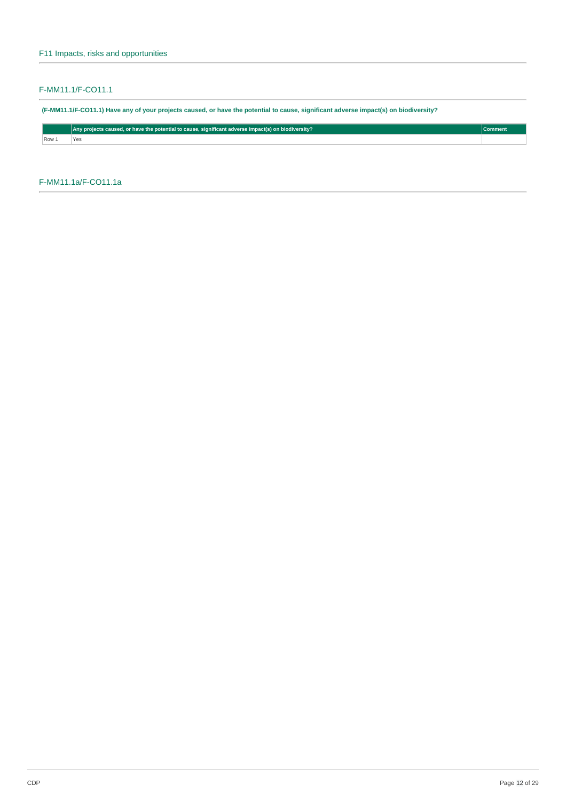# F-MM11.1/F-CO11.1

(F-MM11.1/F-CO11.1) Have any of your projects caused, or have the potential to cause, significant adverse impact(s) on biodiversity?

|     | $\mid$   Any projects caused, or have the potential to cause, significant adverse impact(s) on biodiversity? $\mid$ |  |  |  |
|-----|---------------------------------------------------------------------------------------------------------------------|--|--|--|
| Row | v.                                                                                                                  |  |  |  |

F-MM11.1a/F-CO11.1a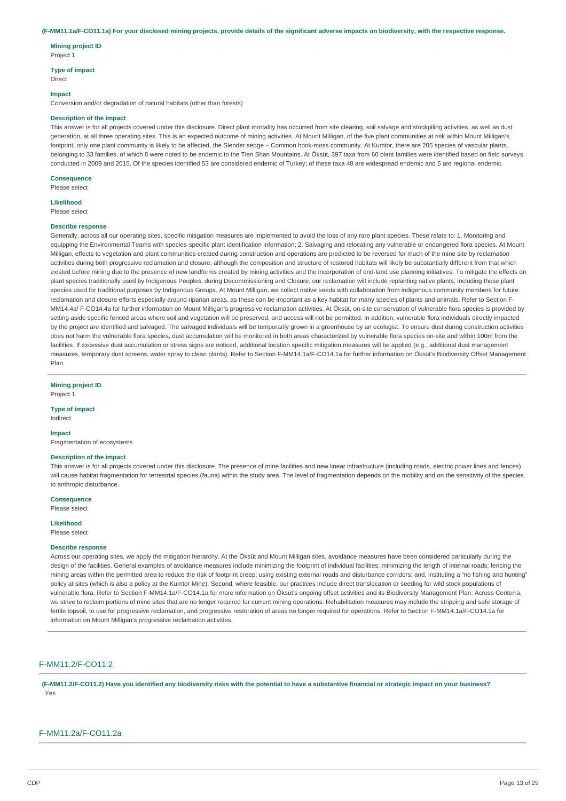#### (F-MM11.1a/F-CO11.1a) For your disclosed mining projects, provide details of the significant adverse impacts on biodiversity, with the respective response.

**Mining project ID** Project 1

# **Type of impact**

Direct

#### **Impact**

Conversion and/or degradation of natural habitats (other than forests)

### **Description of the impact**

This answer is for all projects covered under this disclosure. Direct plant mortality has occurred from site clearing, soil salvage and stockpiling activities, as well as dust generation, at all three operating sites. This is an expected outcome of mining activities. At Mount Milligan, of the five plant communities at risk within Mount Milligan's footprint, only one plant community is likely to be affected, the Slender sedge – Common hook-moss community. At Kumtor, there are 205 species of vascular plants, belonging to 33 families, of which 8 were noted to be endemic to the Tien Shan Mountains. At Öksüt, 397 taxa from 60 plant families were identified based on field surveys conducted in 2009 and 2015. Of the species identified 53 are considered endemic of Turkey; of these taxa 48 are widespread endemic and 5 are regional endemic.

#### **Consequence**

Please select

**Likelihood**

Please select

#### **Describe response**

Generally, across all our operating sites, specific mitigation measures are implemented to avoid the loss of any rare plant species. These relate to: 1. Monitoring and equipping the Environmental Teams with species-specific plant identification information; 2. Salvaging and relocating any vulnerable or endangered flora species. At Mount Milligan, effects to vegetation and plant communities created during construction and operations are predicted to be reversed for much of the mine site by reclamation activities during both progressive reclamation and closure, although the composition and structure of restored habitats will likely be substantially different from that which existed before mining due to the presence of new landforms created by mining activities and the incorporation of end-land use planning initiatives. To mitigate the effects on plant species traditionally used by Indigenous Peoples, during Decommissioning and Closure, our reclamation will include replanting native plants, including those plant species used for traditional purposes by Indigenous Groups. At Mount Milligan, we collect native seeds with collaboration from indigenous community members for future reclamation and closure efforts especially around riparian areas, as these can be important as a key habitat for many species of plants and animals. Refer to Section F-MM14.4a/ F-CO14.4a for further information on Mount Milligan's progressive reclamation activities. At Öksüt, on-site conservation of vulnerable flora species is provided by setting aside specific fenced areas where soil and vegetation will be preserved, and access will not be permitted. In addition, vulnerable flora individuals directly impacted by the project are identified and salvaged. The salvaged individuals will be temporarily grown in a greenhouse by an ecologist. To ensure dust during construction activities does not harm the vulnerable flora species, dust accumulation will be monitored in both areas characterized by vulnerable flora species on-site and within 100m from the facilities. If excessive dust accumulation or stress signs are noticed, additional location specific mitigation measures will be applied (e.g., additional dust management measures, temporary dust screens, water spray to clean plants). Refer to Section F-MM14.1a/F-CO14.1a for further information on Öksüt's Biodiversity Offset Management Plan.

**Mining project ID**

Project 1

# **Type of impact**

Indirect

### **Impact**

Fragmentation of ecosystems

# **Description of the impact**

This answer is for all projects covered under this disclosure. The presence of mine facilities and new linear infrastructure (including roads, electric power lines and fences) will cause habitat fragmentation for terrestrial species (fauna) within the study area. The level of fragmentation depends on the mobility and on the sensitivity of the species to anthropic disturbance.

## **Consequence**

Please select

**Likelihood**

# Please select

# **Describe response**

Across our operating sites, we apply the mitigation hierarchy. At the Öksüt and Mount Milligan sites, avoidance measures have been considered particularly during the design of the facilities. General examples of avoidance measures include minimizing the footprint of individual facilities; minimizing the length of internal roads; fencing the mining areas within the permitted area to reduce the risk of footprint creep; using existing external roads and disturbance corridors; and, instituting a "no fishing and hunting" policy at sites (which is also a policy at the Kumtor Mine). Second, where feasible, our practices include direct translocation or seeding for wild stock populations of vulnerable flora. Refer to Section F-MM14.1a/F-CO14.1a for more information on Öksüt's ongoing offset activities and its Biodiversity Management Plan. Across Centerra, we strive to reclaim portions of mine sites that are no longer required for current mining operations. Rehabilitation measures may include the stripping and safe storage of fertile topsoil, to use for progressive reclamation, and progressive restoration of areas no longer required for operations. Refer to Section F-MM14.1a/F-CO14.1a for information on Mount Milligan's progressive reclamation activities.

## F-MM11.2/F-CO11.2

(F-MM11.2/F-CO11.2) Have vou identified any biodiversity risks with the potential to have a substantive financial or strategic impact on your business? Yes

## F-MM11.2a/F-CO11.2a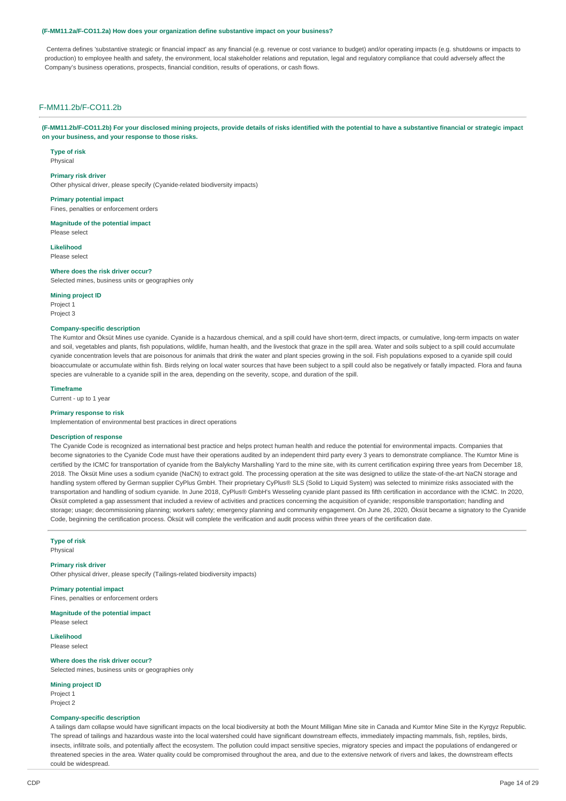#### **(F-MM11.2a/F-CO11.2a) How does your organization define substantive impact on your business?**

Centerra defines 'substantive strategic or financial impact' as any financial (e.g. revenue or cost variance to budget) and/or operating impacts (e.g. shutdowns or impacts to production) to employee health and safety, the environment, local stakeholder relations and reputation, legal and regulatory compliance that could adversely affect the Company's business operations, prospects, financial condition, results of operations, or cash flows.

# F-MM11.2b/F-CO11.2b

(F-MM11.2b/F-CO11.2b) For your disclosed mining projects, provide details of risks identified with the potential to have a substantive financial or strategic impact **on your business, and your response to those risks.**

**Type of risk** Physical

**Primary risk driver**

Other physical driver, please specify (Cyanide-related biodiversity impacts)

**Primary potential impact** Fines, penalties or enforcement orders

**Magnitude of the potential impact** Please select

**Likelihood** Please select

#### **Where does the risk driver occur?**

Selected mines, business units or geographies only

**Mining project ID**

Project 1 Project 3

## **Company-specific description**

The Kumtor and Öksüt Mines use cyanide. Cyanide is a hazardous chemical, and a spill could have short-term, direct impacts, or cumulative, long-term impacts on water and soil, vegetables and plants, fish populations, wildlife, human health, and the livestock that graze in the spill area. Water and soils subject to a spill could accumulate cyanide concentration levels that are poisonous for animals that drink the water and plant species growing in the soil. Fish populations exposed to a cyanide spill could bioaccumulate or accumulate within fish. Birds relying on local water sources that have been subject to a spill could also be negatively or fatally impacted. Flora and fauna species are vulnerable to a cyanide spill in the area, depending on the severity, scope, and duration of the spill.

# **Timeframe**

Current - up to 1 year

# **Primary response to risk**

Implementation of environmental best practices in direct operations

#### **Description of response**

The Cyanide Code is recognized as international best practice and helps protect human health and reduce the potential for environmental impacts. Companies that become signatories to the Cyanide Code must have their operations audited by an independent third party every 3 years to demonstrate compliance. The Kumtor Mine is certified by the ICMC for transportation of cyanide from the Balykchy Marshalling Yard to the mine site, with its current certification expiring three years from December 18, 2018. The Öksüt Mine uses a sodium cyanide (NaCN) to extract gold. The processing operation at the site was designed to utilize the state-of-the-art NaCN storage and handling system offered by German supplier CyPlus GmbH. Their proprietary CyPlus® SLS (Solid to Liquid System) was selected to minimize risks associated with the transportation and handling of sodium cyanide. In June 2018, CyPlus® GmbH's Wesseling cyanide plant passed its fifth certification in accordance with the ICMC. In 2020, Öksüt completed a gap assessment that included a review of activities and practices concerning the acquisition of cyanide; responsible transportation; handling and storage; usage; decommissioning planning; workers safety; emergency planning and community engagement. On June 26, 2020, Öksüt became a signatory to the Cyanide Code, beginning the certification process. Öksüt will complete the verification and audit process within three years of the certification date.

**Type of risk** Physical

#### **Primary risk driver**

Other physical driver, please specify (Tailings-related biodiversity impacts)

**Primary potential impact** Fines, penalties or enforcement orders

**Magnitude of the potential impact** Please select

**Likelihood** Please select

#### **Where does the risk driver occur?**

Selected mines, business units or geographies only

**Mining project ID** Project 1

Project 2

### **Company-specific description**

A tailings dam collapse would have significant impacts on the local biodiversity at both the Mount Milligan Mine site in Canada and Kumtor Mine Site in the Kyrgyz Republic. The spread of tailings and hazardous waste into the local watershed could have significant downstream effects, immediately impacting mammals, fish, reptiles, birds, insects, infiltrate soils, and potentially affect the ecosystem. The pollution could impact sensitive species, migratory species and impact the populations of endangered or threatened species in the area. Water quality could be compromised throughout the area, and due to the extensive network of rivers and lakes, the downstream effects could be widespread.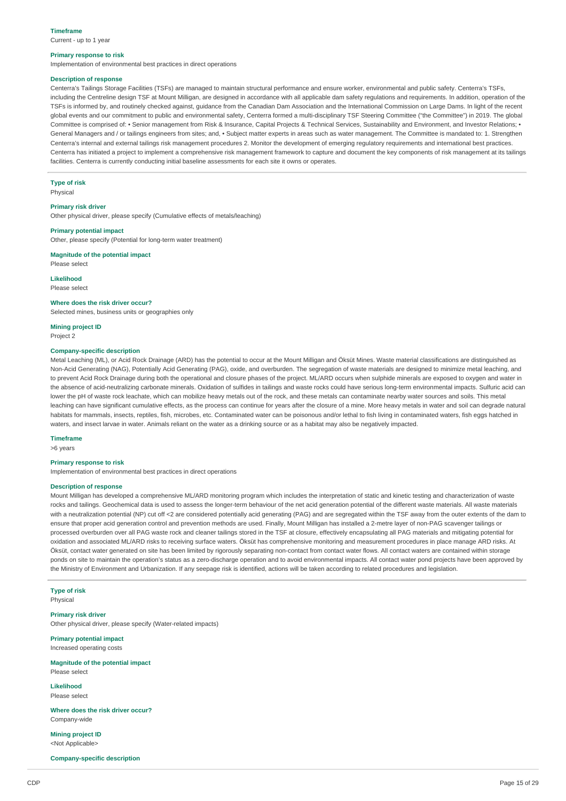Current - up to 1 year

#### **Primary response to risk**

Implementation of environmental best practices in direct operations

### **Description of response**

Centerra's Tailings Storage Facilities (TSFs) are managed to maintain structural performance and ensure worker, environmental and public safety. Centerra's TSFs, including the Centreline design TSF at Mount Milligan, are designed in accordance with all applicable dam safety regulations and requirements. In addition, operation of the TSFs is informed by, and routinely checked against, guidance from the Canadian Dam Association and the International Commission on Large Dams. In light of the recent global events and our commitment to public and environmental safety, Centerra formed a multi-disciplinary TSF Steering Committee ("the Committee") in 2019. The global Committee is comprised of: • Senior management from Risk & Insurance, Capital Projects & Technical Services, Sustainability and Environment, and Investor Relations; • General Managers and / or tailings engineers from sites; and, • Subject matter experts in areas such as water management. The Committee is mandated to: 1. Strengthen Centerra's internal and external tailings risk management procedures 2. Monitor the development of emerging regulatory requirements and international best practices. Centerra has initiated a project to implement a comprehensive risk management framework to capture and document the key components of risk management at its tailings facilities. Centerra is currently conducting initial baseline assessments for each site it owns or operates.

#### **Type of risk**

Physical

# **Primary risk driver**

Other physical driver, please specify (Cumulative effects of metals/leaching)

#### **Primary potential impact**

Other, please specify (Potential for long-term water treatment)

# **Magnitude of the potential impact**

Please select

## **Likelihood**

Please select

### **Where does the risk driver occur?**

Selected mines, business units or geographies only

#### **Mining project ID**

Project 2

# **Company-specific description**

Metal Leaching (ML), or Acid Rock Drainage (ARD) has the potential to occur at the Mount Milligan and Öksüt Mines. Waste material classifications are distinguished as Non-Acid Generating (NAG), Potentially Acid Generating (PAG), oxide, and overburden. The segregation of waste materials are designed to minimize metal leaching, and to prevent Acid Rock Drainage during both the operational and closure phases of the project. ML/ARD occurs when sulphide minerals are exposed to oxygen and water in the absence of acid-neutralizing carbonate minerals. Oxidation of sulfides in tailings and waste rocks could have serious long-term environmental impacts. Sulfuric acid can lower the pH of waste rock leachate, which can mobilize heavy metals out of the rock, and these metals can contaminate nearby water sources and soils. This metal leaching can have significant cumulative effects, as the process can continue for years after the closure of a mine. More heavy metals in water and soil can degrade natural habitats for mammals, insects, reptiles, fish, microbes, etc. Contaminated water can be poisonous and/or lethal to fish living in contaminated waters, fish eggs hatched in waters, and insect larvae in water. Animals reliant on the water as a drinking source or as a habitat may also be negatively impacted.

## **Timeframe**

>6 years

## **Primary response to risk**

Implementation of environmental best practices in direct operations

#### **Description of response**

Mount Milligan has developed a comprehensive ML/ARD monitoring program which includes the interpretation of static and kinetic testing and characterization of waste rocks and tailings. Geochemical data is used to assess the longer-term behaviour of the net acid generation potential of the different waste materials. All waste materials with a neutralization potential (NP) cut off <2 are considered potentially acid generating (PAG) and are segregated within the TSF away from the outer extents of the dam to ensure that proper acid generation control and prevention methods are used. Finally, Mount Milligan has installed a 2-metre layer of non-PAG scavenger tailings or processed overburden over all PAG waste rock and cleaner tailings stored in the TSF at closure, effectively encapsulating all PAG materials and mitigating potential for oxidation and associated ML/ARD risks to receiving surface waters. Öksüt has comprehensive monitoring and measurement procedures in place manage ARD risks. At Öksüt, contact water generated on site has been limited by rigorously separating non-contact from contact water flows. All contact waters are contained within storage ponds on site to maintain the operation's status as a zero-discharge operation and to avoid environmental impacts. All contact water pond projects have been approved by the Ministry of Environment and Urbanization. If any seepage risk is identified, actions will be taken according to related procedures and legislation.

### **Type of risk** Physical

**Primary risk driver** Other physical driver, please specify (Water-related impacts)

**Primary potential impact** Increased operating costs

**Magnitude of the potential impact** Please select

**Likelihood** Please select

**Where does the risk driver occur?** Company-wide

**Mining project ID** <Not Applicable>

**Company-specific description**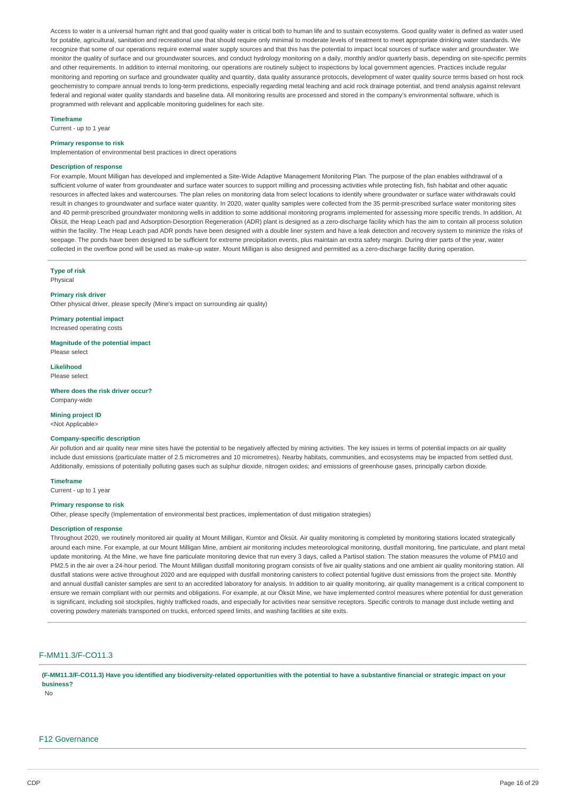Access to water is a universal human right and that good quality water is critical both to human life and to sustain ecosystems. Good quality water is defined as water used for potable, agricultural, sanitation and recreational use that should require only minimal to moderate levels of treatment to meet appropriate drinking water standards. We recognize that some of our operations require external water supply sources and that this has the potential to impact local sources of surface water and groundwater. We monitor the quality of surface and our groundwater sources, and conduct hydrology monitoring on a daily, monthly and/or quarterly basis, depending on site-specific permits and other requirements. In addition to internal monitoring, our operations are routinely subject to inspections by local government agencies. Practices include regular monitoring and reporting on surface and groundwater quality and quantity, data quality assurance protocols, development of water quality source terms based on host rock geochemistry to compare annual trends to long-term predictions, especially regarding metal leaching and acid rock drainage potential, and trend analysis against relevant federal and regional water quality standards and baseline data. All monitoring results are processed and stored in the company's environmental software, which is programmed with relevant and applicable monitoring guidelines for each site.

#### **Timeframe**

Current - up to 1 year

### **Primary response to risk**

Implementation of environmental best practices in direct operations

#### **Description of response**

For example, Mount Milligan has developed and implemented a Site-Wide Adaptive Management Monitoring Plan. The purpose of the plan enables withdrawal of a sufficient volume of water from groundwater and surface water sources to support milling and processing activities while protecting fish, fish habitat and other aquatic resources in affected lakes and watercourses. The plan relies on monitoring data from select locations to identify where groundwater or surface water withdrawals could result in changes to groundwater and surface water quantity. In 2020, water quality samples were collected from the 35 permit-prescribed surface water monitoring sites and 40 permit-prescribed groundwater monitoring wells in addition to some additional monitoring programs implemented for assessing more specific trends. In addition, At Öksüt, the Heap Leach pad and Adsorption-Desorption Regeneration (ADR) plant is designed as a zero-discharge facility which has the aim to contain all process solution within the facility. The Heap Leach pad ADR ponds have been designed with a double liner system and have a leak detection and recovery system to minimize the risks of seepage. The ponds have been designed to be sufficient for extreme precipitation events, plus maintain an extra safety margin. During drier parts of the year, water collected in the overflow pond will be used as make-up water. Mount Milligan is also designed and permitted as a zero-discharge facility during operation.

# **Type of risk**

Physical

## **Primary risk driver**

Other physical driver, please specify (Mine's impact on surrounding air quality)

**Primary potential impact** Increased operating costs

**Magnitude of the potential impact** Please select

**Likelihood** Please select

**Where does the risk driver occur?** Company-wide

### **Mining project ID**

<Not Applicable>

#### **Company-specific description**

Air pollution and air quality near mine sites have the potential to be negatively affected by mining activities. The key issues in terms of potential impacts on air quality include dust emissions (particulate matter of 2.5 micrometres and 10 micrometres). Nearby habitats, communities, and ecosystems may be impacted from settled dust. Additionally, emissions of potentially polluting gases such as sulphur dioxide, nitrogen oxides; and emissions of greenhouse gases, principally carbon dioxide.

#### **Timeframe**

Current - up to 1 year

### **Primary response to risk**

Other, please specify (Implementation of environmental best practices, implementation of dust mitigation strategies)

#### **Description of response**

Throughout 2020, we routinely monitored air quality at Mount Milligan, Kumtor and Öksüt. Air quality monitoring is completed by monitoring stations located strategically around each mine. For example, at our Mount Milligan Mine, ambient air monitoring includes meteorological monitoring, dustfall monitoring, fine particulate, and plant metal update monitoring. At the Mine, we have fine particulate monitoring device that run every 3 days, called a Partisol station. The station measures the volume of PM10 and PM2.5 in the air over a 24-hour period. The Mount Milligan dustfall monitoring program consists of five air quality stations and one ambient air quality monitoring station. All dustfall stations were active throughout 2020 and are equipped with dustfall monitoring canisters to collect potential fugitive dust emissions from the project site. Monthly and annual dustfall canister samples are sent to an accredited laboratory for analysis. In addition to air quality monitoring, air quality management is a critical component to ensure we remain compliant with our permits and obligations. For example, at our Öksüt Mine, we have implemented control measures where potential for dust generation is significant, including soil stockpiles, highly trafficked roads, and especially for activities near sensitive receptors. Specific controls to manage dust include wetting and covering powdery materials transported on trucks, enforced speed limits, and washing facilities at site exits.

# F-MM11.3/F-CO11.3

(F-MM11.3/F-CO11.3) Have you identified any biodiversity-related opportunities with the potential to have a substantive financial or strategic impact on your **business?**

No

#### F12 Governance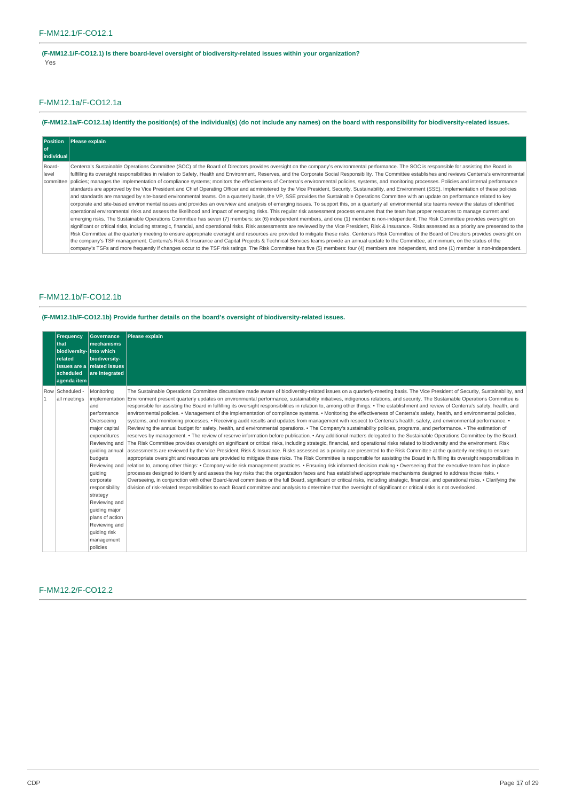**(F-MM12.1/F-CO12.1) Is there board-level oversight of biodiversity-related issues within your organization?** Yes

# F-MM12.1a/F-CO12.1a

# (F-MM12.1a/F-CO12.1a) Identify the position(s) of the individual(s) (do not include any names) on the board with responsibility for biodiversity-related issues.

|            | Position Please explain                                                                                                                                                                                        |
|------------|----------------------------------------------------------------------------------------------------------------------------------------------------------------------------------------------------------------|
| of         |                                                                                                                                                                                                                |
| individual |                                                                                                                                                                                                                |
| Board-     | Centerra's Sustainable Operations Committee (SOC) of the Board of Directors provides oversight on the company's environmental performance. The SOC is responsible for assisting the Board in                   |
| level      | fulfilling its oversight responsibilities in relation to Safety, Health and Environment, Reserves, and the Corporate Social Responsibility. The Committee establishes and reviews Centerra's environmental     |
|            | committee   policies: manages the implementation of compliance systems: monitors the effectiveness of Centerra's environmental policies, systems, and monitoring processes. Policies and internal performance  |
|            | standards are approved by the Vice President and Chief Operating Officer and administered by the Vice President, Security, Sustainability, and Environment (SSE). Implementation of these policies             |
|            | and standards are managed by site-based environmental teams. On a quarterly basis, the VP, SSE provides the Sustainable Operations Committee with an update on performance related to key                      |
|            | corporate and site-based environmental issues and provides an overview and analysis of emerging issues. To support this, on a quarterly all environmental site teams review the status of identified           |
|            | operational environmental risks and assess the likelihood and impact of emerging risks. This regular risk assessment process ensures that the team has proper resources to manage current and                  |
|            | emerging risks. The Sustainable Operations Committee has seven (7) members: six (6) independent members, and one (1) member is non-independent. The Risk Committee provides oversight on                       |
|            | significant or critical risks, including strategic, financial, and operational risks, Risk assessments are reviewed by the Vice President. Risk & Insurance, Risks assessed as a priority are presented to the |
|            | Risk Committee at the quarterly meeting to ensure appropriate oversight and resources are provided to mitigate these risks. Centerra's Risk Committee of the Board of Directors provides oversight on          |
|            | the company's TSF management. Centerra's Risk & Insurance and Capital Projects & Technical Services teams provide an annual update to the Committee, at minimum, on the status of the                          |
|            | company's TSFs and more frequently if changes occur to the TSF risk ratings. The Risk Committee has five (5) members: four (4) members are independent, and one (1) member is non-independent.                 |

# F-MM12.1b/F-CO12.1b

**(F-MM12.1b/F-CO12.1b) Provide further details on the board's oversight of biodiversity-related issues.**

|              | <b>Frequency</b><br>that<br>biodiversity- into which<br>related<br>scheduled<br>agenda item | <b>Governance</b><br><b>Imechanisms</b><br>biodiversity-<br>issues are a related issues<br>are integrated                                                                                                                                                                                                            | <b>Please explain</b>                                                                                                                                                                                                                                                                                                                                                                                                                                                                                                                                                                                                                                                                                                                                                                                                                                                                                                                                                                                                                                                                                                                                                                                                                                                                                                                                                                                                                                                                                                                                                                                                                                                                                                                                                                                                                                                                                                                                                                                                                                                                                                                                                                                                                                                                                                                                                                                                                                                                                                                           |
|--------------|---------------------------------------------------------------------------------------------|----------------------------------------------------------------------------------------------------------------------------------------------------------------------------------------------------------------------------------------------------------------------------------------------------------------------|-------------------------------------------------------------------------------------------------------------------------------------------------------------------------------------------------------------------------------------------------------------------------------------------------------------------------------------------------------------------------------------------------------------------------------------------------------------------------------------------------------------------------------------------------------------------------------------------------------------------------------------------------------------------------------------------------------------------------------------------------------------------------------------------------------------------------------------------------------------------------------------------------------------------------------------------------------------------------------------------------------------------------------------------------------------------------------------------------------------------------------------------------------------------------------------------------------------------------------------------------------------------------------------------------------------------------------------------------------------------------------------------------------------------------------------------------------------------------------------------------------------------------------------------------------------------------------------------------------------------------------------------------------------------------------------------------------------------------------------------------------------------------------------------------------------------------------------------------------------------------------------------------------------------------------------------------------------------------------------------------------------------------------------------------------------------------------------------------------------------------------------------------------------------------------------------------------------------------------------------------------------------------------------------------------------------------------------------------------------------------------------------------------------------------------------------------------------------------------------------------------------------------------------------------|
| $\mathbf{1}$ | Row Scheduled -<br>all meetings                                                             | Monitoring<br>and<br>performance<br>Overseeing<br>major capital<br>expenditures<br>Reviewing and<br>quiding annual<br>budgets<br>Reviewing and<br>quiding<br>corporate<br>responsibility<br>strategy<br>Reviewing and<br>quiding major<br>plans of action<br>Reviewing and<br>quiding risk<br>management<br>policies | The Sustainable Operations Committee discuss/are made aware of biodiversity-related issues on a quarterly-meeting basis. The Vice President of Security, Sustainability, and<br>implementation Environment present quarterly updates on environmental performance, sustainability initiatives, indigenous relations, and security. The Sustainable Operations Committee is<br>responsible for assisting the Board in fulfilling its oversight responsibilities in relation to, among other things: • The establishment and review of Centerra's safety, health, and<br>environmental policies. • Management of the implementation of compliance systems. • Monitoring the effectiveness of Centerra's safety, health, and environmental policies,<br>systems, and monitoring processes. • Receiving audit results and updates from management with respect to Centerra's health, safety, and environmental performance. •<br>Reviewing the annual budget for safety, health, and environmental operations. • The Company's sustainability policies, programs, and performance. • The estimation of<br>reserves by management. • The review of reserve information before publication. • Any additional matters delegated to the Sustainable Operations Committee by the Board.<br>The Risk Committee provides oversight on significant or critical risks, including strategic, financial, and operational risks related to biodiversity and the environment. Risk<br>assessments are reviewed by the Vice President, Risk & Insurance. Risks assessed as a priority are presented to the Risk Committee at the quarterly meeting to ensure<br>appropriate oversight and resources are provided to mitigate these risks. The Risk Committee is responsible for assisting the Board in fulfilling its oversight responsibilities in<br>relation to, among other things: • Company-wide risk management practices. • Ensuring risk informed decision making • Overseeing that the executive team has in place<br>processes designed to identify and assess the key risks that the organization faces and has established appropriate mechanisms designed to address those risks. •<br>Overseeing, in conjunction with other Board-level committees or the full Board, significant or critical risks, including strategic, financial, and operational risks. • Clarifying the<br>division of risk-related responsibilities to each Board committee and analysis to determine that the oversight of significant or critical risks is not overlooked. |

# F-MM12.2/F-CO12.2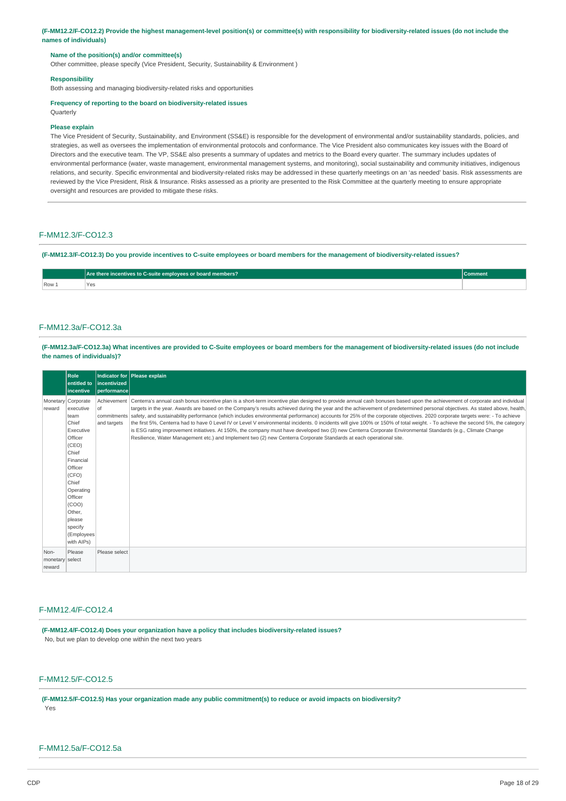(F-MM12.2/F-CO12.2) Provide the highest management-level position(s) or committee(s) with responsibility for biodiversity-related issues (do not include the **names of individuals)**

### **Name of the position(s) and/or committee(s)**

Other committee, please specify (Vice President, Security, Sustainability & Environment )

#### **Responsibility**

Both assessing and managing biodiversity-related risks and opportunities

#### **Frequency of reporting to the board on biodiversity-related issues Ouarterly**

# **Please explain**

The Vice President of Security, Sustainability, and Environment (SS&E) is responsible for the development of environmental and/or sustainability standards, policies, and strategies, as well as oversees the implementation of environmental protocols and conformance. The Vice President also communicates key issues with the Board of Directors and the executive team. The VP, SS&E also presents a summary of updates and metrics to the Board every quarter. The summary includes updates of environmental performance (water, waste management, environmental management systems, and monitoring), social sustainability and community initiatives, indigenous relations, and security. Specific environmental and biodiversity-related risks may be addressed in these quarterly meetings on an 'as needed' basis. Risk assessments are reviewed by the Vice President, Risk & Insurance. Risks assessed as a priority are presented to the Risk Committee at the quarterly meeting to ensure appropriate oversight and resources are provided to mitigate these risks.

## F-MM12.3/F-CO12.3

(F-MM12.3/F-CO12.3) Do you provide incentives to C-suite employees or board members for the management of biodiversity-related issues?

|       | <b>TO there incentives to C-suite employees or board members?</b><br>Are | :omment |
|-------|--------------------------------------------------------------------------|---------|
| Row 1 | Va<br>- -                                                                |         |
|       |                                                                          |         |

## F-MM12.3a/F-CO12.3a

(F-MM12.3a/F-CO12.3a) What incentives are provided to C-Suite employees or board members for the management of biodiversity-related issues (do not include **the names of individuals)?**

|                                   | Role<br>entitled to<br><b>lincentive</b>                                                                                                                                                                                         | lincentivized<br> performance | Indicator for Please explain                                                                                                                                                                                                                                                                                                                                                                                                                                                                                                                                                                                                                                                                                                                                                                                                                                                                                                                                                                                                            |
|-----------------------------------|----------------------------------------------------------------------------------------------------------------------------------------------------------------------------------------------------------------------------------|-------------------------------|-----------------------------------------------------------------------------------------------------------------------------------------------------------------------------------------------------------------------------------------------------------------------------------------------------------------------------------------------------------------------------------------------------------------------------------------------------------------------------------------------------------------------------------------------------------------------------------------------------------------------------------------------------------------------------------------------------------------------------------------------------------------------------------------------------------------------------------------------------------------------------------------------------------------------------------------------------------------------------------------------------------------------------------------|
| reward                            | Monetary Corporate<br>executive<br>team<br>Chief<br>Executive<br>Officer<br>(CEO)<br>Chief<br>Financial<br>Officer<br>(CFO)<br>Chief<br>Operating<br>Officer<br>(COO)<br>Other,<br>please<br>specify<br>(Employees<br>with AIPs) | of<br>and targets             | Achievement   Centerra's annual cash bonus incentive plan is a short-term incentive plan designed to provide annual cash bonuses based upon the achievement of corporate and individual<br>targets in the year. Awards are based on the Company's results achieved during the year and the achievement of predetermined personal objectives. As stated above, health,<br>commitments safety, and sustainability performance (which includes environmental performance) accounts for 25% of the corporate objectives. 2020 corporate targets were: - To achieve<br>the first 5%, Centerra had to have 0 Level IV or Level V environmental incidents. 0 incidents will give 100% or 150% of total weight. - To achieve the second 5%, the category<br>is ESG rating improvement initiatives. At 150%, the company must have developed two (3) new Centerra Corporate Environmental Standards (e.g., Climate Change<br>Resilience, Water Management etc.) and Implement two (2) new Centerra Corporate Standards at each operational site. |
| Non-<br>monetary select<br>reward | Please                                                                                                                                                                                                                           | Please select                 |                                                                                                                                                                                                                                                                                                                                                                                                                                                                                                                                                                                                                                                                                                                                                                                                                                                                                                                                                                                                                                         |

# F-MM12.4/F-CO12.4

**(F-MM12.4/F-CO12.4) Does your organization have a policy that includes biodiversity-related issues?** No, but we plan to develop one within the next two years

# F-MM12.5/F-CO12.5

**(F-MM12.5/F-CO12.5) Has your organization made any public commitment(s) to reduce or avoid impacts on biodiversity?** Yes

# F-MM12.5a/F-CO12.5a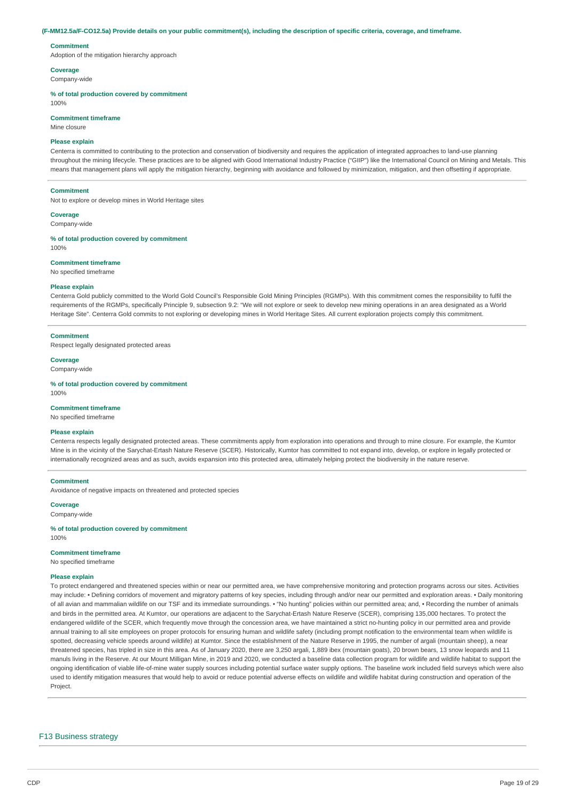#### (F-MM12.5a/F-CO12.5a) Provide details on your public commitment(s), including the description of specific criteria, coverage, and timeframe.

#### **Commitment**

Adoption of the mitigation hierarchy approach

**Coverage**

Company-wide

#### **% of total production covered by commitment**

100%

## **Commitment timeframe**

Mine closure

## **Please explain**

Centerra is committed to contributing to the protection and conservation of biodiversity and requires the application of integrated approaches to land-use planning throughout the mining lifecycle. These practices are to be aligned with Good International Industry Practice ("GIIP") like the International Council on Mining and Metals. This means that management plans will apply the mitigation hierarchy, beginning with avoidance and followed by minimization, mitigation, and then offsetting if appropriate.

#### **Commitment**

Not to explore or develop mines in World Heritage sites

# **Coverage**

Company-wide

**% of total production covered by commitment** 100%

#### **Commitment timeframe**

No specified timeframe

### **Please explain**

Centerra Gold publicly committed to the World Gold Council's Responsible Gold Mining Principles (RGMPs). With this commitment comes the responsibility to fulfil the requirements of the RGMPs, specifically Principle 9, subsection 9.2: "We will not explore or seek to develop new mining operations in an area designated as a World Heritage Site". Centerra Gold commits to not exploring or developing mines in World Heritage Sites. All current exploration projects comply this commitment.

#### **Commitment**

Respect legally designated protected areas

#### **Coverage**

Company-wide

**% of total production covered by commitment**

# 100%

### **Commitment timeframe**

No specified timeframe

### **Please explain**

Centerra respects legally designated protected areas. These commitments apply from exploration into operations and through to mine closure. For example, the Kumtor Mine is in the vicinity of the Sarychat-Ertash Nature Reserve (SCER). Historically, Kumtor has committed to not expand into, develop, or explore in legally protected or internationally recognized areas and as such, avoids expansion into this protected area, ultimately helping protect the biodiversity in the nature reserve.

#### **Commitment**

Avoidance of negative impacts on threatened and protected species

**Coverage**

Company-wide

**% of total production covered by commitment** 100%

# **Commitment timeframe**

No specified timeframe

#### **Please explain**

To protect endangered and threatened species within or near our permitted area, we have comprehensive monitoring and protection programs across our sites. Activities may include: • Defining corridors of movement and migratory patterns of key species, including through and/or near our permitted and exploration areas. • Daily monitoring of all avian and mammalian wildlife on our TSF and its immediate surroundings. • "No hunting" policies within our permitted area; and, • Recording the number of animals and birds in the permitted area. At Kumtor, our operations are adjacent to the Sarychat-Ertash Nature Reserve (SCER), comprising 135,000 hectares. To protect the endangered wildlife of the SCER, which frequently move through the concession area, we have maintained a strict no-hunting policy in our permitted area and provide annual training to all site employees on proper protocols for ensuring human and wildlife safety (including prompt notification to the environmental team when wildlife is spotted, decreasing vehicle speeds around wildlife) at Kumtor. Since the establishment of the Nature Reserve in 1995, the number of argali (mountain sheep), a near threatened species, has tripled in size in this area. As of January 2020, there are 3,250 argali, 1,889 ibex (mountain goats), 20 brown bears, 13 snow leopards and 11 manuls living in the Reserve. At our Mount Milligan Mine, in 2019 and 2020, we conducted a baseline data collection program for wildlife and wildlife habitat to support the ongoing identification of viable life-of-mine water supply sources including potential surface water supply options. The baseline work included field surveys which were also used to identify mitigation measures that would help to avoid or reduce potential adverse effects on wildlife and wildlife habitat during construction and operation of the Project.

## F13 Business strategy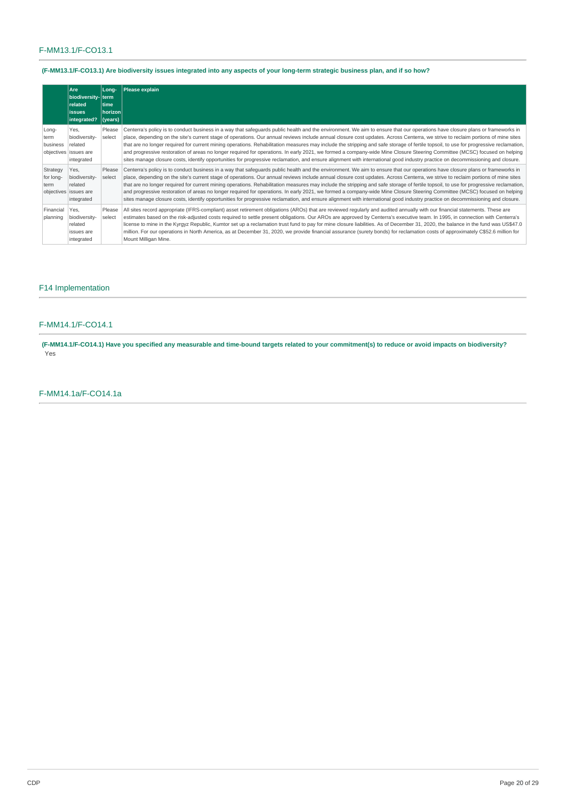# F-MM13.1/F-CO13.1

# (F-MM13.1/F-CO13.1) Are biodiversity issues integrated into any aspects of your long-term strategic business plan, and if so how?

|                               | Are<br>biodiversity- term<br>related<br><b>issues</b><br>integrated?    | Long-<br>time<br>horizon<br>(years) | Please explain                                                                                                                                                                                                                                                                                                                                                                                                                                                                                                                                                                                                                                                                                                                                                                                                                                                                                                            |
|-------------------------------|-------------------------------------------------------------------------|-------------------------------------|---------------------------------------------------------------------------------------------------------------------------------------------------------------------------------------------------------------------------------------------------------------------------------------------------------------------------------------------------------------------------------------------------------------------------------------------------------------------------------------------------------------------------------------------------------------------------------------------------------------------------------------------------------------------------------------------------------------------------------------------------------------------------------------------------------------------------------------------------------------------------------------------------------------------------|
| Long-<br>term<br>business     | Yes.<br>biodiversity-<br>related<br>objectives issues are<br>integrated | Please<br>select                    | Centerra's policy is to conduct business in a way that safequards public health and the environment. We aim to ensure that our operations have closure plans or frameworks in<br>place, depending on the site's current stage of operations. Our annual reviews include annual closure cost updates. Across Centerra, we strive to reclaim portions of mine sites<br>that are no longer required for current mining operations. Rehabilitation measures may include the stripping and safe storage of fertile topsoil, to use for progressive reclamation,<br>and progressive restoration of areas no longer required for operations. In early 2021, we formed a company-wide Mine Closure Steering Committee (MCSC) focused on helping<br>sites manage closure costs, identify opportunities for progressive reclamation, and ensure alignment with international good industry practice on decommissioning and closure. |
| Strategy<br>for long-<br>term | Yes,<br>biodiversity-<br>related<br>objectives issues are<br>integrated | Please<br>select                    | Centerra's policy is to conduct business in a way that safeguards public health and the environment. We aim to ensure that our operations have closure plans or frameworks in<br>place, depending on the site's current stage of operations. Our annual reviews include annual closure cost updates. Across Centerra, we strive to reclaim portions of mine sites<br>that are no longer required for current mining operations. Rehabilitation measures may include the stripping and safe storage of fertile topsoil, to use for progressive reclamation,<br>and progressive restoration of areas no longer required for operations. In early 2021, we formed a company-wide Mine Closure Steering Committee (MCSC) focused on helping<br>sites manage closure costs, identify opportunities for progressive reclamation, and ensure alignment with international good industry practice on decommissioning and closure. |
| Financial<br>planning         | Yes.<br>biodiversity-<br>related<br>issues are<br>integrated            | Please<br>select                    | All sites record appropriate (IFRS-compliant) asset retirement obligations (AROs) that are reviewed regularly and audited annually with our financial statements. These are<br>estimates based on the risk-adjusted costs required to settle present obligations. Our AROs are approved by Centerra's executive team. In 1995, in connection with Centerra's<br>license to mine in the Kyrgyz Republic, Kumtor set up a reclamation trust fund to pay for mine closure liabilities. As of December 31, 2020, the balance in the fund was US\$47.0<br>million. For our operations in North America, as at December 31, 2020, we provide financial assurance (surety bonds) for reclamation costs of approximately C\$52.6 million for<br>Mount Milligan Mine.                                                                                                                                                              |

# F14 Implementation

# F-MM14.1/F-CO14.1

(F-MM14.1/F-CO14.1) Have you specified any measurable and time-bound targets related to your commitment(s) to reduce or avoid impacts on biodiversity? Yes

# F-MM14.1a/F-CO14.1a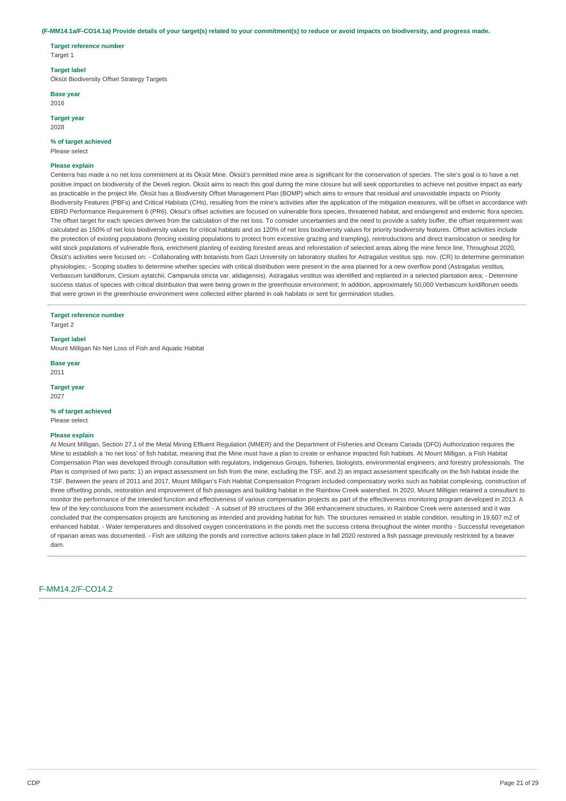#### (F-MM14.1a/F-CO14.1a) Provide details of your target(s) related to your commitment(s) to reduce or avoid impacts on biodiversity, and progress made.

**Target reference number** Target 1

### **Target label**

Öksüt Biodiversity Offset Strategy Targets

**Base year**

2016

**Target year** 2028

### **% of target achieved**

Please select

### **Please explain**

Centerra has made a no net loss commitment at its Öksüt Mine. Öksüt's permitted mine area is significant for the conservation of species. The site's goal is to have a net positive impact on biodiversity of the Develi region. Öksüt aims to reach this goal during the mine closure but will seek opportunities to achieve net positive impact as early as practicable in the project life. Öksüt has a Biodiversity Offset Management Plan (BOMP) which aims to ensure that residual and unavoidable impacts on Priority Biodiversity Features (PBFs) and Critical Habitats (CHs), resulting from the mine's activities after the application of the mitigation measures, will be offset in accordance with EBRD Performance Requirement 6 (PR6). Oksut's offset activities are focused on vulnerable flora species, threatened habitat, and endangered and endemic flora species. The offset target for each species derives from the calculation of the net loss. To consider uncertainties and the need to provide a safety buffer, the offset requirement was calculated as 150% of net loss biodiversity values for critical habitats and as 120% of net loss biodiversity values for priority biodiversity features. Offset activities include the protection of existing populations (fencing existing populations to protect from excessive grazing and trampling), reintroductions and direct translocation or seeding for wild stock populations of vulnerable flora, enrichment planting of existing forested areas and reforestation of selected areas along the mine fence line. Throughout 2020, Öksüt's activities were focused on: - Collaborating with botanists from Gazi University on laboratory studies for Astragalus vestitus spp. nov. (CR) to determine germination physiologies; - Scoping studies to determine whether species with critical distribution were present in the area planned for a new overflow pond (Astragalus vestitus, Verbascum luridiflorum, Cirsium aytatchii, Campanula stricta var. alidagensis). Astragalus vestitus was identified and replanted in a selected plantation area; - Determine success status of species with critical distribution that were being grown in the greenhouse environment; In addition, approximately 50,000 Verbascum luridiflorum seeds that were grown in the greenhouse environment were collected either planted in oak habitats or sent for germination studies.

**Target reference number**

Target 2

# **Target label**

Mount Milligan No Net Loss of Fish and Aquatic Habitat

**Base year** 2011

**Target year** 2027

### **% of target achieved**

Please select

#### **Please explain**

At Mount Milligan, Section 27.1 of the Metal Mining Effluent Regulation (MMER) and the Department of Fisheries and Oceans Canada (DFO) Authorization requires the Mine to establish a 'no net loss' of fish habitat, meaning that the Mine must have a plan to create or enhance impacted fish habitats. At Mount Milligan, a Fish Habitat Compensation Plan was developed through consultation with regulators, Indigenous Groups, fisheries, biologists, environmental engineers, and forestry professionals. The Plan is comprised of two parts: 1) an impact assessment on fish from the mine, excluding the TSF, and 2) an impact assessment specifically on the fish habitat inside the TSF. Between the years of 2011 and 2017, Mount Milligan's Fish Habitat Compensation Program included compensatory works such as habitat complexing, construction of three offsetting ponds, restoration and improvement of fish passages and building habitat in the Rainbow Creek watershed. In 2020, Mount Milligan retained a consultant to monitor the performance of the intended function and effectiveness of various compensation projects as part of the effectiveness monitoring program developed in 2013. A few of the key conclusions from the assessment included: - A subset of 89 structures of the 368 enhancement structures, in Rainbow Creek were assessed and it was concluded that the compensation projects are functioning as intended and providing habitat for fish. The structures remained in stable condition, resulting in 19,607 m2 of enhanced habitat. - Water temperatures and dissolved oxygen concentrations in the ponds met the success criteria throughout the winter months - Successful revegetation of riparian areas was documented. - Fish are utilizing the ponds and corrective actions taken place in fall 2020 restored a fish passage previously restricted by a beaver dam.

## F-MM14.2/F-CO14.2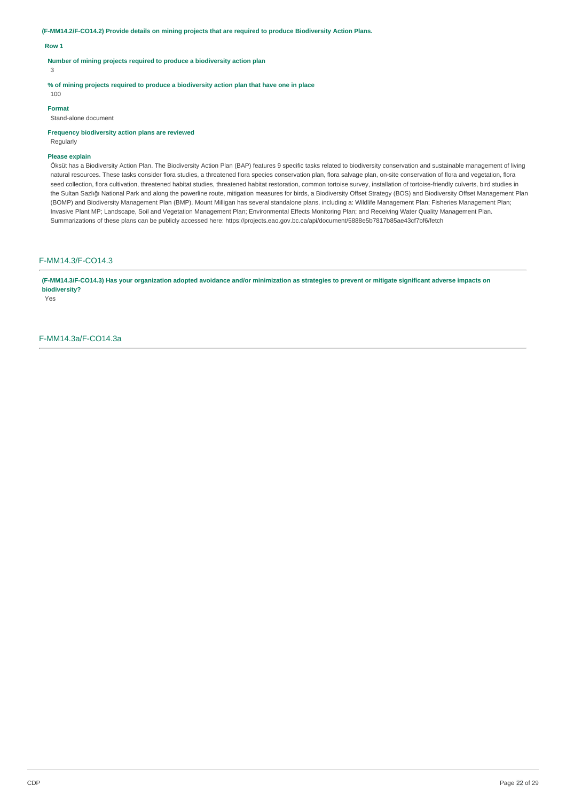**(F-MM14.2/F-CO14.2) Provide details on mining projects that are required to produce Biodiversity Action Plans.**

### **Row 1**

**Number of mining projects required to produce a biodiversity action plan**

3

**% of mining projects required to produce a biodiversity action plan that have one in place**

# 100 **Format**

Stand-alone document

**Frequency biodiversity action plans are reviewed**

Regularly

## **Please explain**

Öksüt has a Biodiversity Action Plan. The Biodiversity Action Plan (BAP) features 9 specific tasks related to biodiversity conservation and sustainable management of living natural resources. These tasks consider flora studies, a threatened flora species conservation plan, flora salvage plan, on-site conservation of flora and vegetation, flora seed collection, flora cultivation, threatened habitat studies, threatened habitat restoration, common tortoise survey, installation of tortoise-friendly culverts, bird studies in the Sultan Sazlığı National Park and along the powerline route, mitigation measures for birds, a Biodiversity Offset Strategy (BOS) and Biodiversity Offset Management Plan (BOMP) and Biodiversity Management Plan (BMP). Mount Milligan has several standalone plans, including a: Wildlife Management Plan; Fisheries Management Plan; Invasive Plant MP; Landscape, Soil and Vegetation Management Plan; Environmental Effects Monitoring Plan; and Receiving Water Quality Management Plan. Summarizations of these plans can be publicly accessed here: https://projects.eao.gov.bc.ca/api/document/5888e5b7817b85ae43cf7bf6/fetch

F-MM14.3/F-CO14.3

(F-MM14.3/F-CO14.3) Has your organization adopted avoidance and/or minimization as strategies to prevent or mitigate significant adverse impacts on **biodiversity?**

Yes

F-MM14.3a/F-CO14.3a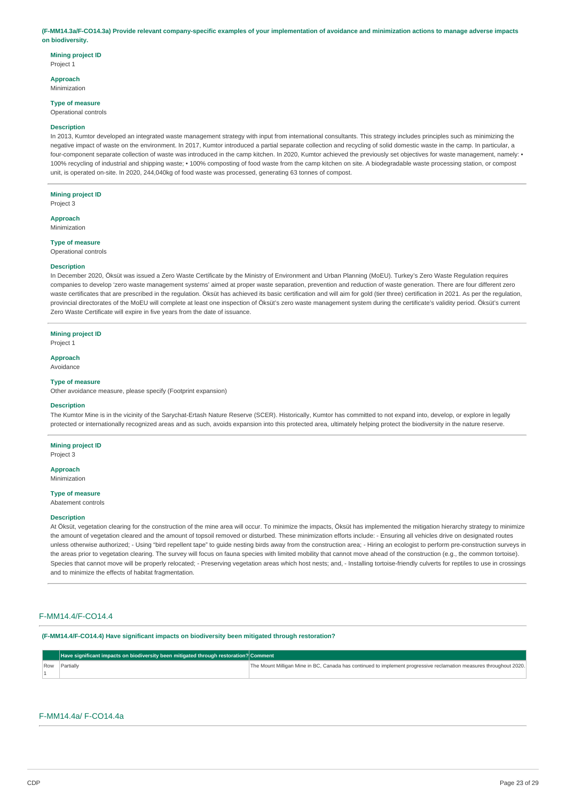#### (F-MM14.3a/F-CO14.3a) Provide relevant company-specific examples of your implementation of avoidance and minimization actions to manage adverse impacts **on biodiversity.**

**Mining project ID** Project 1

**Approach**

Minimization

**Type of measure**

Operational controls

### **Description**

In 2013, Kumtor developed an integrated waste management strategy with input from international consultants. This strategy includes principles such as minimizing the negative impact of waste on the environment. In 2017, Kumtor introduced a partial separate collection and recycling of solid domestic waste in the camp. In particular, a four-component separate collection of waste was introduced in the camp kitchen. In 2020, Kumtor achieved the previously set objectives for waste management, namely: • 100% recycling of industrial and shipping waste; • 100% composting of food waste from the camp kitchen on site. A biodegradable waste processing station, or compost unit, is operated on-site. In 2020, 244,040kg of food waste was processed, generating 63 tonnes of compost.

# **Mining project ID**

Project 3

**Approach** Minimization

# **Type of measure**

Operational controls

### **Description**

In December 2020, Öksüt was issued a Zero Waste Certificate by the Ministry of Environment and Urban Planning (MoEU). Turkey's Zero Waste Regulation requires companies to develop 'zero waste management systems' aimed at proper waste separation, prevention and reduction of waste generation. There are four different zero waste certificates that are prescribed in the regulation. Öksüt has achieved its basic certification and will aim for gold (tier three) certification in 2021. As per the regulation, provincial directorates of the MoEU will complete at least one inspection of Öksüt's zero waste management system during the certificate's validity period. Öksüt's current Zero Waste Certificate will expire in five years from the date of issuance.

#### **Mining project ID**

Project 1

**Approach** Avoidance

#### **Type of measure**

Other avoidance measure, please specify (Footprint expansion)

#### **Description**

The Kumtor Mine is in the vicinity of the Sarychat-Ertash Nature Reserve (SCER). Historically, Kumtor has committed to not expand into, develop, or explore in legally protected or internationally recognized areas and as such, avoids expansion into this protected area, ultimately helping protect the biodiversity in the nature reserve.

### **Mining project ID**

Project 3

# **Approach**

Minimization

# **Type of measure**

Abatement controls

#### **Description**

At Öksüt, vegetation clearing for the construction of the mine area will occur. To minimize the impacts, Öksüt has implemented the mitigation hierarchy strategy to minimize the amount of vegetation cleared and the amount of topsoil removed or disturbed. These minimization efforts include: - Ensuring all vehicles drive on designated routes unless otherwise authorized; - Using "bird repellent tape" to guide nesting birds away from the construction area; - Hiring an ecologist to perform pre-construction surveys in the areas prior to vegetation clearing. The survey will focus on fauna species with limited mobility that cannot move ahead of the construction (e.g., the common tortoise). Species that cannot move will be properly relocated; - Preserving vegetation areas which host nests; and, - Installing tortoise-friendly culverts for reptiles to use in crossings and to minimize the effects of habitat fragmentation.

### F-MM14.4/F-CO14.4

**(F-MM14.4/F-CO14.4) Have significant impacts on biodiversity been mitigated through restoration?**

| Have significant impacts on biodiversity been mitigated through restoration? Comment |                                                                                                                    |
|--------------------------------------------------------------------------------------|--------------------------------------------------------------------------------------------------------------------|
| Row Partially                                                                        | The Mount Milligan Mine in BC, Canada has continued to implement progressive reclamation measures throughout 2020. |
|                                                                                      |                                                                                                                    |

# F-MM14.4a/ F-CO14.4a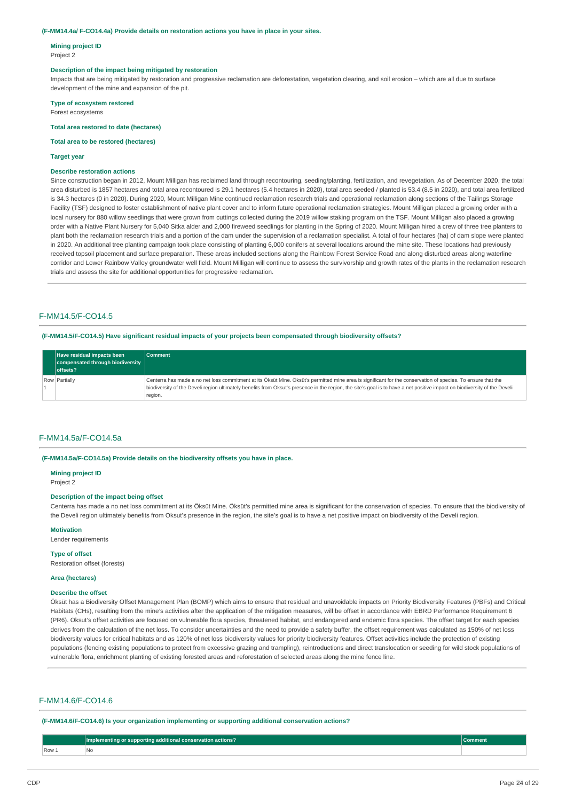#### **(F-MM14.4a/ F-CO14.4a) Provide details on restoration actions you have in place in your sites.**

**Mining project ID** Project 2

#### **Description of the impact being mitigated by restoration**

Impacts that are being mitigated by restoration and progressive reclamation are deforestation, vegetation clearing, and soil erosion – which are all due to surface development of the mine and expansion of the pit.

**Type of ecosystem restored** Forest ecosystems

# **Total area restored to date (hectares)**

### **Total area to be restored (hectares)**

#### **Target year**

#### **Describe restoration actions**

Since construction began in 2012, Mount Milligan has reclaimed land through recontouring, seeding/planting, fertilization, and revegetation. As of December 2020, the total area disturbed is 1857 hectares and total area recontoured is 29.1 hectares (5.4 hectares in 2020), total area seeded / planted is 53.4 (8.5 in 2020), and total area fertilized is 34.3 hectares (0 in 2020). During 2020, Mount Milligan Mine continued reclamation research trials and operational reclamation along sections of the Tailings Storage Facility (TSF) designed to foster establishment of native plant cover and to inform future operational reclamation strategies. Mount Milligan placed a growing order with a local nursery for 880 willow seedlings that were grown from cuttings collected during the 2019 willow staking program on the TSF. Mount Milligan also placed a growing order with a Native Plant Nursery for 5,040 Sitka alder and 2,000 fireweed seedlings for planting in the Spring of 2020. Mount Milligan hired a crew of three tree planters to plant both the reclamation research trials and a portion of the dam under the supervision of a reclamation specialist. A total of four hectares (ha) of dam slope were planted in 2020. An additional tree planting campaign took place consisting of planting 6,000 conifers at several locations around the mine site. These locations had previously received topsoil placement and surface preparation. These areas included sections along the Rainbow Forest Service Road and along disturbed areas along waterline corridor and Lower Rainbow Valley groundwater well field. Mount Milligan will continue to assess the survivorship and growth rates of the plants in the reclamation research trials and assess the site for additional opportunities for progressive reclamation.

## F-MM14.5/F-CO14.5

#### **(F-MM14.5/F-CO14.5) Have significant residual impacts of your projects been compensated through biodiversity offsets?**

| Have residual impacts been<br>compensated through biodiversity<br>offsets? | <b>Comment</b>                                                                                                                                                                                                                                                                                                                                       |
|----------------------------------------------------------------------------|------------------------------------------------------------------------------------------------------------------------------------------------------------------------------------------------------------------------------------------------------------------------------------------------------------------------------------------------------|
| Row Partially                                                              | Centerra has made a no net loss commitment at its Öksüt Mine. Öksüt's permitted mine area is significant for the conservation of species. To ensure that the<br>biodiversity of the Develi region ultimately benefits from Oksut's presence in the region, the site's goal is to have a net positive impact on biodiversity of the Develi<br>region. |

### F-MM14.5a/F-CO14.5a

#### **(F-MM14.5a/F-CO14.5a) Provide details on the biodiversity offsets you have in place.**

**Mining project ID**

Project 2

### **Description of the impact being offset**

Centerra has made a no net loss commitment at its Öksüt Mine. Öksüt's permitted mine area is significant for the conservation of species. To ensure that the biodiversity of the Develi region ultimately benefits from Oksut's presence in the region, the site's goal is to have a net positive impact on biodiversity of the Develi region.

#### **Motivation**

Lender requirements

#### **Type of offset**

Restoration offset (forests)

### **Area (hectares)**

#### **Describe the offset**

Öksüt has a Biodiversity Offset Management Plan (BOMP) which aims to ensure that residual and unavoidable impacts on Priority Biodiversity Features (PBFs) and Critical Habitats (CHs), resulting from the mine's activities after the application of the mitigation measures, will be offset in accordance with EBRD Performance Requirement 6 (PR6). Oksut's offset activities are focused on vulnerable flora species, threatened habitat, and endangered and endemic flora species. The offset target for each species derives from the calculation of the net loss. To consider uncertainties and the need to provide a safety buffer, the offset requirement was calculated as 150% of net loss biodiversity values for critical habitats and as 120% of net loss biodiversity values for priority biodiversity features. Offset activities include the protection of existing populations (fencing existing populations to protect from excessive grazing and trampling), reintroductions and direct translocation or seeding for wild stock populations of vulnerable flora, enrichment planting of existing forested areas and reforestation of selected areas along the mine fence line.

#### F-MM14.6/F-CO14.6

**(F-MM14.6/F-CO14.6) Is your organization implementing or supporting additional conservation actions?**

|       | <b>Impleme</b><br>supporting additional conservation actions? | Comment |
|-------|---------------------------------------------------------------|---------|
| Row 1 | N <sub>o</sub>                                                |         |
|       |                                                               |         |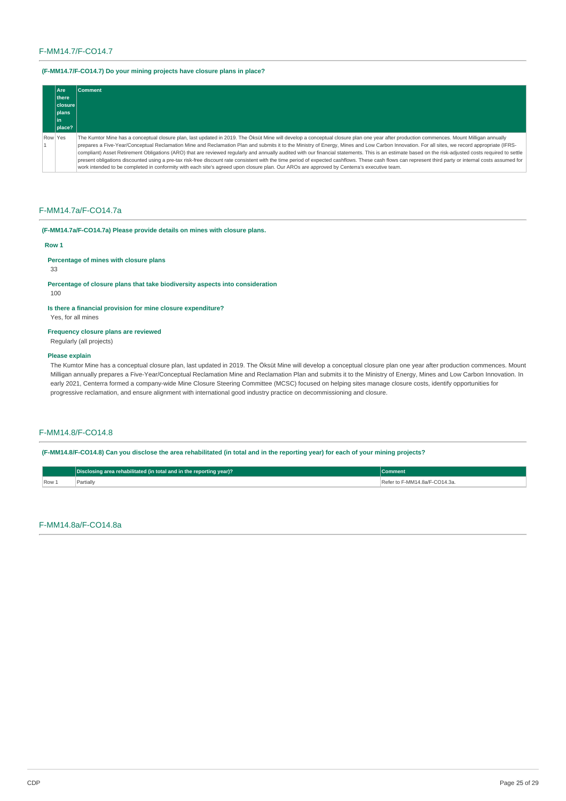# F-MM14.7/F-CO14.7

# **(F-MM14.7/F-CO14.7) Do your mining projects have closure plans in place?**

|         | Are     | <b>Comment</b>                                                                                                                                                                                         |
|---------|---------|--------------------------------------------------------------------------------------------------------------------------------------------------------------------------------------------------------|
|         | there   |                                                                                                                                                                                                        |
|         | closure |                                                                                                                                                                                                        |
|         | plans   |                                                                                                                                                                                                        |
|         | l in I  |                                                                                                                                                                                                        |
|         | place?  |                                                                                                                                                                                                        |
| Row Yes |         | The Kumtor Mine has a conceptual closure plan, last updated in 2019. The Öksüt Mine will develop a conceptual closure plan one year after production commences. Mount Milligan annually                |
|         |         | prepares a Five-Year/Conceptual Reclamation Mine and Reclamation Plan and submits it to the Ministry of Energy, Mines and Low Carbon Innovation. For all sites, we record appropriate (IFRS-           |
|         |         | compliant) Asset Retirement Obligations (ARO) that are reviewed regularly and annually audited with our financial statements. This is an estimate based on the risk-adjusted costs required to settle  |
|         |         | present obligations discounted using a pre-tax risk-free discount rate consistent with the time period of expected cashflows. These cash flows can represent third party or internal costs assumed for |
|         |         | work intended to be completed in conformity with each site's agreed upon closure plan. Our AROs are approved by Centerra's executive team.                                                             |

## F-MM14.7a/F-CO14.7a

# **(F-MM14.7a/F-CO14.7a) Please provide details on mines with closure plans.**

### **Row 1**

# **Percentage of mines with closure plans**

# 33

**Percentage of closure plans that take biodiversity aspects into consideration**

## 100

# **Is there a financial provision for mine closure expenditure?**

Yes, for all mines

# **Frequency closure plans are reviewed**

Regularly (all projects)

### **Please explain**

The Kumtor Mine has a conceptual closure plan, last updated in 2019. The Öksüt Mine will develop a conceptual closure plan one year after production commences. Mount Milligan annually prepares a Five-Year/Conceptual Reclamation Mine and Reclamation Plan and submits it to the Ministry of Energy, Mines and Low Carbon Innovation. In early 2021, Centerra formed a company-wide Mine Closure Steering Committee (MCSC) focused on helping sites manage closure costs, identify opportunities for progressive reclamation, and ensure alignment with international good industry practice on decommissioning and closure.

# F-MM14.8/F-CO14.8

(F-MM14.8/F-CO14.8) Can you disclose the area rehabilitated (in total and in the reporting year) for each of your mining projects?

|       | Disclosing area rehabilitated (in total and in the reporting year)? | Comment                            |
|-------|---------------------------------------------------------------------|------------------------------------|
| Row 1 | Partially                                                           | r to F-MM14.8a/F-CO14.3a.<br>Refer |

# F-MM14.8a/F-CO14.8a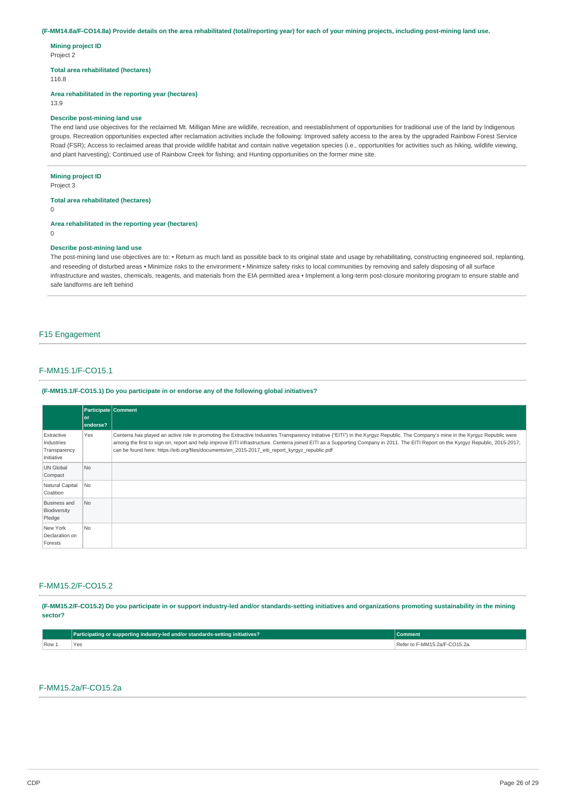### (F-MM14.8a/F-CO14.8a) Provide details on the area rehabilitated (total/reporting year) for each of your mining projects, including post-mining land use.

**Mining project ID** Project 2

**Total area rehabilitated (hectares)**

116.8

**Area rehabilitated in the reporting year (hectares)**

13.9

### **Describe post-mining land use**

The end land use objectives for the reclaimed Mt. Milligan Mine are wildlife, recreation, and reestablishment of opportunities for traditional use of the land by Indigenous groups. Recreation opportunities expected after reclamation activities include the following: Improved safety access to the area by the upgraded Rainbow Forest Service Road (FSR); Access to reclaimed areas that provide wildlife habitat and contain native vegetation species (i.e., opportunities for activities such as hiking, wildlife viewing, and plant harvesting); Continued use of Rainbow Creek for fishing; and Hunting opportunities on the former mine site.

### **Mining project ID**

Project 3

# **Total area rehabilitated (hectares)**

 $\Omega$ 

# **Area rehabilitated in the reporting year (hectares)**

0

### **Describe post-mining land use**

The post-mining land use objectives are to: • Return as much land as possible back to its original state and usage by rehabilitating, constructing engineered soil, replanting, and reseeding of disturbed areas • Minimize risks to the environment • Minimize safety risks to local communities by removing and safely disposing of all surface infrastructure and wastes, chemicals, reagents, and materials from the EIA permitted area • Implement a long-term post-closure monitoring program to ensure stable and safe landforms are left behind

# F15 Engagement

# F-MM15.1/F-CO15.1

### **(F-MM15.1/F-CO15.1) Do you participate in or endorse any of the following global initiatives?**

|                                                        | <b>Participate Comment</b><br>or<br>endorse? |                                                                                                                                                                                                                                                                                                                                                                                                                                                                            |
|--------------------------------------------------------|----------------------------------------------|----------------------------------------------------------------------------------------------------------------------------------------------------------------------------------------------------------------------------------------------------------------------------------------------------------------------------------------------------------------------------------------------------------------------------------------------------------------------------|
| Extractive<br>Industries<br>Transparency<br>Initiative | Yes                                          | Centerra has played an active role in promoting the Extractive Industries Transparency Initiative ("EITI") in the Kyrgyz Republic. The Company's mine in the Kyrgyz Republic were<br>among the first to sign on, report and help improve EITI infrastructure. Centerra joined EITI as a Supporting Company in 2011. The EITI Report on the Kyrgyz Republic, 2015-2017,<br>can be found here: https://eiti.org/files/documents/en_2015-2017_eiti_report_kyrgyz_republic.pdf |
| <b>UN Global</b><br>Compact                            | No.                                          |                                                                                                                                                                                                                                                                                                                                                                                                                                                                            |
| Natural Capital<br>Coalition                           | No                                           |                                                                                                                                                                                                                                                                                                                                                                                                                                                                            |
| <b>Business and</b><br>Biodiversity<br>Pledge          | <b>No</b>                                    |                                                                                                                                                                                                                                                                                                                                                                                                                                                                            |
| New York<br>Declaration on<br>Forests                  | No.                                          |                                                                                                                                                                                                                                                                                                                                                                                                                                                                            |

# F-MM15.2/F-CO15.2

(F-MM15.2/F-CO15.2) Do you participate in or support industry-led and/or standards-setting initiatives and organizations promoting sustainability in the mining **sector?**

|     | Participating or supporting industry-led and/or standards-setting initiatives? | Comment                             |
|-----|--------------------------------------------------------------------------------|-------------------------------------|
| Row | 'Yes                                                                           | `↑ F-MM15.2a/F-CO15.2a.<br>Refer to |

# F-MM15.2a/F-CO15.2a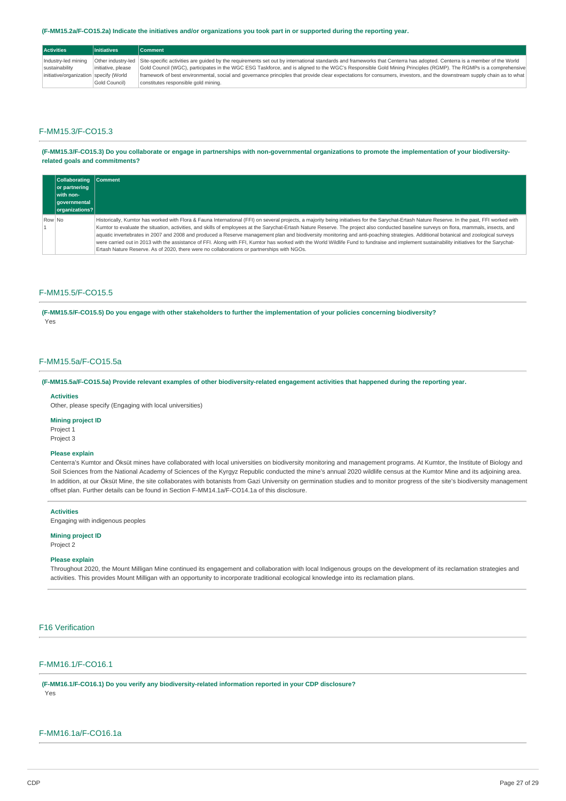#### (F-MM15.2a/F-CO15.2a) Indicate the initiatives and/or organizations you took part in or supported during the reporting year.

| <b>Activities</b>                      | <b>Initiatives</b> | <b>Comment</b>                                                                                                                                                                            |
|----------------------------------------|--------------------|-------------------------------------------------------------------------------------------------------------------------------------------------------------------------------------------|
| Industry-led mining                    |                    | Other industry-led Site-specific activities are quided by the requirements set out by international standards and frameworks that Centerra has adopted. Centerra is a member of the World |
| sustainability                         | initiative, please | Gold Council (WGC), participates in the WGC ESG Taskforce, and is aligned to the WGC's Responsible Gold Mining Principles (RGMP). The RGMPs is a comprehensive                            |
| initiative/organization specify (World |                    | framework of best environmental, social and governance principles that provide clear expectations for consumers, investors, and the downstream supply chain as to what                    |
|                                        | Gold Council)      | constitutes responsible gold mining.                                                                                                                                                      |

# F-MM15.3/F-CO15.3

(F-MM15.3/F-CO15.3) Do you collaborate or engage in partnerships with non-governmental organizations to promote the implementation of your biodiversity**related goals and commitments?**

|        | Collaborating Comment<br>or partnering<br>with non-<br>governmental<br> organizations? |                                                                                                                                                                                                                                                                                                                                                                                                                                                                                                                                                                                                                                                                                                                                                                                                                                                                               |
|--------|----------------------------------------------------------------------------------------|-------------------------------------------------------------------------------------------------------------------------------------------------------------------------------------------------------------------------------------------------------------------------------------------------------------------------------------------------------------------------------------------------------------------------------------------------------------------------------------------------------------------------------------------------------------------------------------------------------------------------------------------------------------------------------------------------------------------------------------------------------------------------------------------------------------------------------------------------------------------------------|
| Row No |                                                                                        | Historically, Kumtor has worked with Flora & Fauna International (FFI) on several projects, a majority being initiatives for the Sarychat-Ertash Nature Reserve. In the past, FFI worked with<br>Kumtor to evaluate the situation, activities, and skills of employees at the Sarychat-Ertash Nature Reserve. The project also conducted baseline surveys on flora, mammals, insects, and<br>aquatic invertebrates in 2007 and 2008 and produced a Reserve management plan and biodiversity monitoring and anti-poaching strategies. Additional botanical and zoological surveys<br>were carried out in 2013 with the assistance of FFI. Along with FFI, Kumtor has worked with the World Wildlife Fund to fundraise and implement sustainability initiatives for the Sarychat-<br>Ertash Nature Reserve. As of 2020, there were no collaborations or partnerships with NGOs. |

## F-MM15.5/F-CO15.5

(F-MM15.5/F-CO15.5) Do you engage with other stakeholders to further the implementation of your policies concerning biodiversity? Yes

# F-MM15.5a/F-CO15.5a

(F-MM15.5a/F-CO15.5a) Provide relevant examples of other biodiversity-related engagement activities that happened during the reporting year.

#### **Activities**

Other, please specify (Engaging with local universities)

### **Mining project ID**

Project 1 Project 3

# **Please explain**

Centerra's Kumtor and Öksüt mines have collaborated with local universities on biodiversity monitoring and management programs. At Kumtor, the Institute of Biology and Soil Sciences from the National Academy of Sciences of the Kyrgyz Republic conducted the mine's annual 2020 wildlife census at the Kumtor Mine and its adjoining area. In addition, at our Öksüt Mine, the site collaborates with botanists from Gazi University on germination studies and to monitor progress of the site's biodiversity management offset plan. Further details can be found in Section F-MM14.1a/F-CO14.1a of this disclosure.

#### **Activities**

Engaging with indigenous peoples

### **Mining project ID**

Project 2

### **Please explain**

Throughout 2020, the Mount Milligan Mine continued its engagement and collaboration with local Indigenous groups on the development of its reclamation strategies and activities. This provides Mount Milligan with an opportunity to incorporate traditional ecological knowledge into its reclamation plans.

# F16 Verification

# F-MM16.1/F-CO16.1

**(F-MM16.1/F-CO16.1) Do you verify any biodiversity-related information reported in your CDP disclosure?** Yes

# F-MM16.1a/F-CO16.1a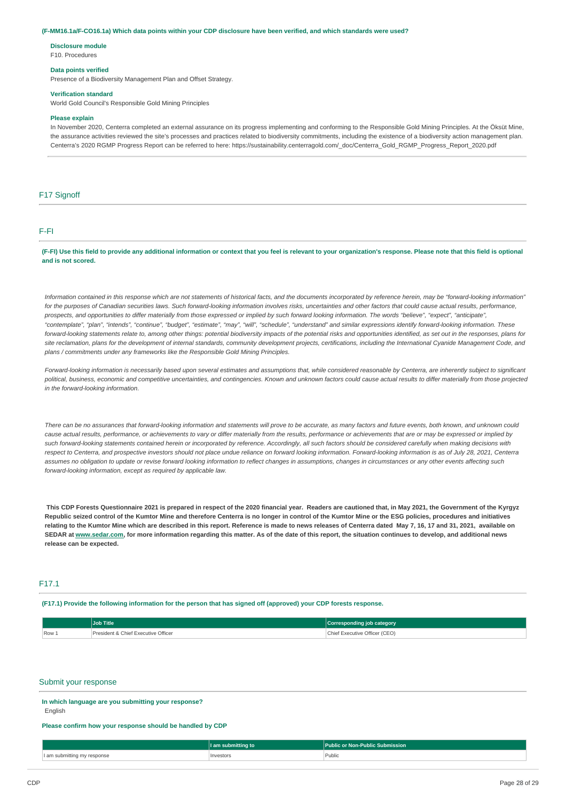#### (F-MM16.1a/F-CO16.1a) Which data points within your CDP disclosure have been verified, and which standards were used?

**Disclosure module**

F10. Procedures

# **Data points verified**

Presence of a Biodiversity Management Plan and Offset Strategy.

#### **Verification standard**

World Gold Council's Responsible Gold Mining Principles

#### **Please explain**

In November 2020, Centerra completed an external assurance on its progress implementing and conforming to the Responsible Gold Mining Principles. At the Öksüt Mine, the assurance activities reviewed the site's processes and practices related to biodiversity commitments, including the existence of a biodiversity action management plan. Centerra's 2020 RGMP Progress Report can be referred to here: https://sustainability.centerragold.com/\_doc/Centerra\_Gold\_RGMP\_Progress\_Report\_2020.pdf

## F<sub>17</sub> Signoff

#### F-FI

(F-FI) Use this field to provide any additional information or context that you feel is relevant to your organization's response. Please note that this field is optional **and is not scored.**

Information contained in this response which are not statements of historical facts, and the documents incorporated by reference herein, may be "forward-looking information" for the purposes of Canadian securities laws. Such forward-looking information involves risks, uncertainties and other factors that could cause actual results, performance, prospects, and opportunities to differ materially from those expressed or implied by such forward looking information. The words "believe", "expect", "anticipate", "contemplate", "plan", "intends", "continue", "budget", "estimate", "may", "will", "schedule", "understand" and similar expressions identify forward-looking information. These forward-looking statements relate to, among other things: potential biodiversity impacts of the potential risks and opportunities identified, as set out in the responses, plans for site reclamation, plans for the development of internal standards, community development projects, certifications, including the International Cyanide Management Code, and *plans / commitments under any frameworks like the Responsible Gold Mining Principles.*

Forward-looking information is necessarily based upon several estimates and assumptions that, while considered reasonable by Centerra, are inherently subject to significant political, business, economic and competitive uncertainties, and contingencies. Known and unknown factors could cause actual results to differ materially from those projected *in the forward-looking information.*

There can be no assurances that forward-looking information and statements will prove to be accurate, as many factors and future events, both known, and unknown could cause actual results, performance, or achievements to vary or differ materially from the results, performance or achievements that are or may be expressed or implied by such forward-looking statements contained herein or incorporated by reference. Accordingly, all such factors should be considered carefully when making decisions with respect to Centerra, and prospective investors should not place undue reliance on forward looking information. Forward-looking information is as of July 28, 2021, Centerra assumes no obligation to update or revise forward looking information to reflect changes in assumptions, changes in circumstances or any other events affecting such *forward-looking information, except as required by applicable law.*

This CDP Forests Questionnaire 2021 is prepared in respect of the 2020 financial year. Readers are cautioned that, in May 2021, the Government of the Kyrgyz Republic seized control of the Kumtor Mine and therefore Centerra is no longer in control of the Kumtor Mine or the ESG policies, procedures and initiatives relating to the Kumtor Mine which are described in this report. Reference is made to news releases of Centerra dated May 7, 16, 17 and 31, 2021, available on SEDAR at [www.sedar.com,](https://apc01.safelinks.protection.outlook.com/?url=http%253A%252F%252Fwww.sedar.com%252F&data=04%257C01%257Cmarina.proskurovsky%2540centerragold.com%257C4a2bad7198e347e65f5408d931d5aa5f%257Ca39be4db39244953bd7d7ee7b48ecae9%257C1%257C0%257C637595616031382230%257CUnknown%257CTWFpbGZsb3d8eyJWIjoiMC4wLjAwMDAiLCJQIjoiV2luMzIiLCJBTiI6Ik1haWwiLCJXVCI6Mn0%253D%257C1000&sdata=vR6w4rZjmnsqXIlfHijlPvN6L7ZQ3hwNqhbKO2FTiYA%253D&reserved=0) for more information regarding this matter. As of the date of this report, the situation continues to develop, and additional news **release can be expected.**

### F17.1

(F17.1) Provide the following information for the person that has signed off (approved) your CDP forests response.

|       | Job Title                           | Corresponding job category    |
|-------|-------------------------------------|-------------------------------|
| Row 1 | President & Chief Executive Officer | Chief Executive Officer (CEO) |

## Submit your response

**In which language are you submitting your response?** English

#### **Please confirm how your response should be handled by CDP**

|                                            | l am<br>ubmittina | c or Non-Public Submission :<br>*Public. |
|--------------------------------------------|-------------------|------------------------------------------|
| I am submitting mv i<br>response<br>.<br>. | Investors         | Public                                   |